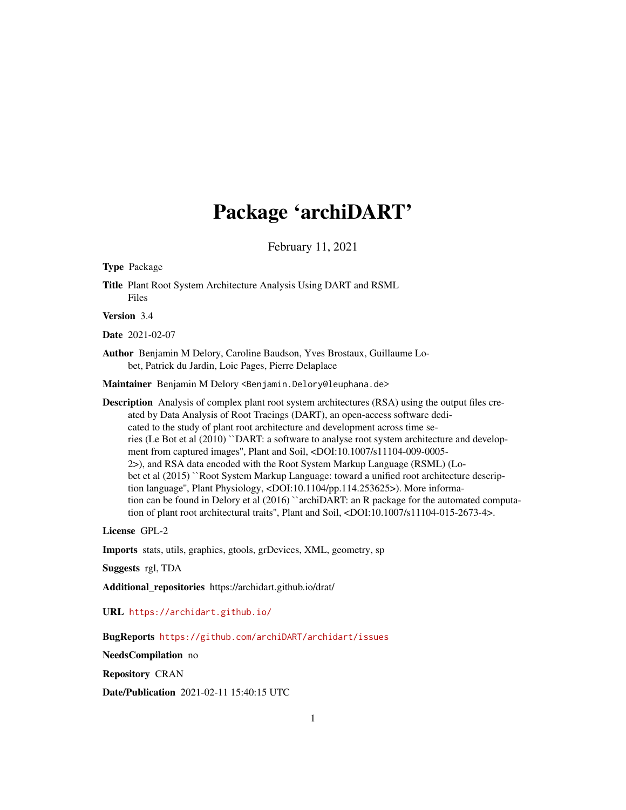## Package 'archiDART'

February 11, 2021

<span id="page-0-0"></span>Type Package

Title Plant Root System Architecture Analysis Using DART and RSML Files

Version 3.4

Date 2021-02-07

Author Benjamin M Delory, Caroline Baudson, Yves Brostaux, Guillaume Lobet, Patrick du Jardin, Loic Pages, Pierre Delaplace

Maintainer Benjamin M Delory <Benjamin.Delory@leuphana.de>

Description Analysis of complex plant root system architectures (RSA) using the output files created by Data Analysis of Root Tracings (DART), an open-access software dedicated to the study of plant root architecture and development across time series (Le Bot et al (2010) ``DART: a software to analyse root system architecture and development from captured images'', Plant and Soil, <DOI:10.1007/s11104-009-0005- 2>), and RSA data encoded with the Root System Markup Language (RSML) (Lobet et al (2015) ``Root System Markup Language: toward a unified root architecture description language", Plant Physiology, <DOI:10.1104/pp.114.253625>). More information can be found in Delory et al (2016) "archiDART: an R package for the automated computation of plant root architectural traits'', Plant and Soil, <DOI:10.1007/s11104-015-2673-4>.

License GPL-2

Imports stats, utils, graphics, gtools, grDevices, XML, geometry, sp

Suggests rgl, TDA

Additional\_repositories https://archidart.github.io/drat/

URL <https://archidart.github.io/>

BugReports <https://github.com/archiDART/archidart/issues>

NeedsCompilation no

Repository CRAN

Date/Publication 2021-02-11 15:40:15 UTC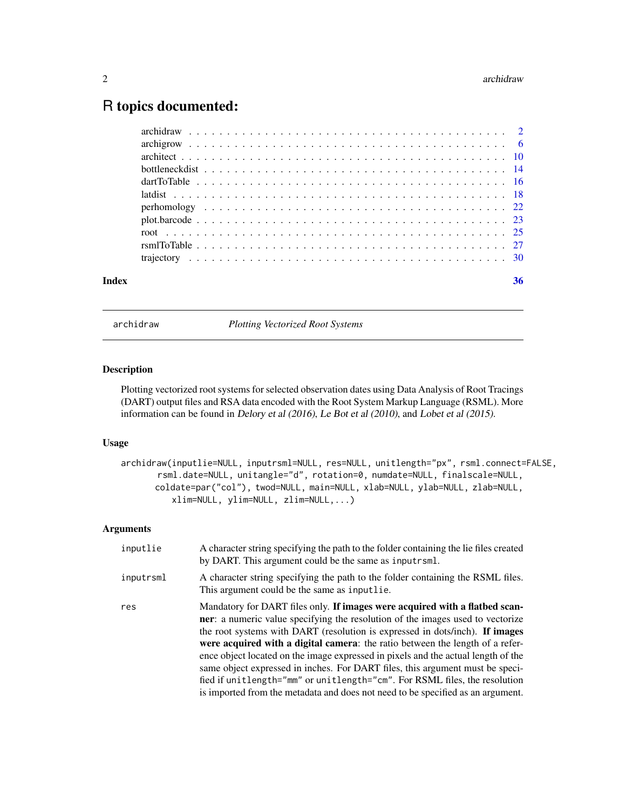### <span id="page-1-0"></span>R topics documented:

| Index |  |  |  |  |  |  |  |  |  |  |  |  |  |  |  |  |  |  | 36 |
|-------|--|--|--|--|--|--|--|--|--|--|--|--|--|--|--|--|--|--|----|

archidraw *Plotting Vectorized Root Systems*

#### Description

Plotting vectorized root systems for selected observation dates using Data Analysis of Root Tracings (DART) output files and RSA data encoded with the Root System Markup Language (RSML). More information can be found in Delory et al (2016), Le Bot et al (2010), and Lobet et al (2015).

#### Usage

```
archidraw(inputlie=NULL, inputrsml=NULL, res=NULL, unitlength="px", rsml.connect=FALSE,
       rsml.date=NULL, unitangle="d", rotation=0, numdate=NULL, finalscale=NULL,
      coldate=par("col"), twod=NULL, main=NULL, xlab=NULL, ylab=NULL, zlab=NULL,
          xlim=NULL, ylim=NULL, zlim=NULL,...)
```
#### Arguments

| inputlie  | A character string specifying the path to the folder containing the lie files created<br>by DART. This argument could be the same as input rsml.                                                                                                                                                                                                                                                                                                                                                                                                                                                                                                                              |
|-----------|-------------------------------------------------------------------------------------------------------------------------------------------------------------------------------------------------------------------------------------------------------------------------------------------------------------------------------------------------------------------------------------------------------------------------------------------------------------------------------------------------------------------------------------------------------------------------------------------------------------------------------------------------------------------------------|
| inputrsml | A character string specifying the path to the folder containing the RSML files.<br>This argument could be the same as inputlie.                                                                                                                                                                                                                                                                                                                                                                                                                                                                                                                                               |
| res       | Mandatory for DART files only. If images were acquired with a flatbed scan-<br><b>ner</b> : a numeric value specifying the resolution of the images used to vectorize<br>the root systems with DART (resolution is expressed in dots/inch). If images<br>were acquired with a digital camera: the ratio between the length of a refer-<br>ence object located on the image expressed in pixels and the actual length of the<br>same object expressed in inches. For DART files, this argument must be speci-<br>fied if unitlength="mm" or unitlength="cm". For RSML files, the resolution<br>is imported from the metadata and does not need to be specified as an argument. |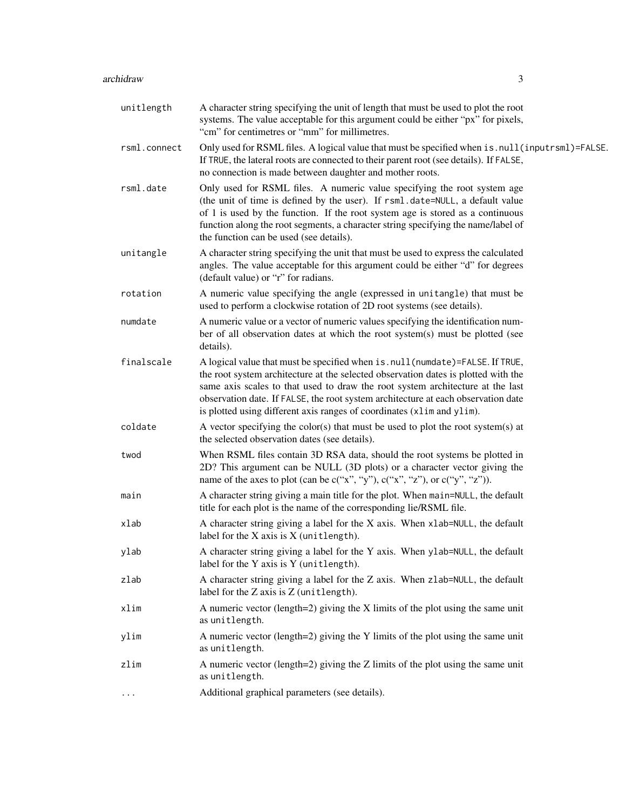#### archidraw 3

| unitlength   | A character string specifying the unit of length that must be used to plot the root<br>systems. The value acceptable for this argument could be either "px" for pixels,<br>"cm" for centimetres or "mm" for millimetres.                                                                                                                                                                                            |
|--------------|---------------------------------------------------------------------------------------------------------------------------------------------------------------------------------------------------------------------------------------------------------------------------------------------------------------------------------------------------------------------------------------------------------------------|
| rsml.connect | Only used for RSML files. A logical value that must be specified when is . null (inputrsml)=FALSE.<br>If TRUE, the lateral roots are connected to their parent root (see details). If FALSE,<br>no connection is made between daughter and mother roots.                                                                                                                                                            |
| rsml.date    | Only used for RSML files. A numeric value specifying the root system age<br>(the unit of time is defined by the user). If rsml.date=NULL, a default value<br>of 1 is used by the function. If the root system age is stored as a continuous<br>function along the root segments, a character string specifying the name/label of<br>the function can be used (see details).                                         |
| unitangle    | A character string specifying the unit that must be used to express the calculated<br>angles. The value acceptable for this argument could be either "d" for degrees<br>(default value) or "r" for radians.                                                                                                                                                                                                         |
| rotation     | A numeric value specifying the angle (expressed in unitangle) that must be<br>used to perform a clockwise rotation of 2D root systems (see details).                                                                                                                                                                                                                                                                |
| numdate      | A numeric value or a vector of numeric values specifying the identification num-<br>ber of all observation dates at which the root system(s) must be plotted (see<br>details).                                                                                                                                                                                                                                      |
| finalscale   | A logical value that must be specified when is.null(numdate)=FALSE. If TRUE,<br>the root system architecture at the selected observation dates is plotted with the<br>same axis scales to that used to draw the root system architecture at the last<br>observation date. If FALSE, the root system architecture at each observation date<br>is plotted using different axis ranges of coordinates (x1im and y1im). |
| coldate      | A vector specifying the color(s) that must be used to plot the root system(s) at<br>the selected observation dates (see details).                                                                                                                                                                                                                                                                                   |
| twod         | When RSML files contain 3D RSA data, should the root systems be plotted in<br>2D? This argument can be NULL (3D plots) or a character vector giving the<br>name of the axes to plot (can be $c("x", "y"), c("x", "z"), or c("y", "z"))$ .                                                                                                                                                                           |
| main         | A character string giving a main title for the plot. When main=NULL, the default<br>title for each plot is the name of the corresponding lie/RSML file.                                                                                                                                                                                                                                                             |
| xlab         | A character string giving a label for the X axis. When xlab=NULL, the default<br>label for the $X$ axis is $X$ (unitlength).                                                                                                                                                                                                                                                                                        |
| ylab         | A character string giving a label for the Y axis. When ylab=NULL, the default<br>label for the Y axis is Y (unitlength).                                                                                                                                                                                                                                                                                            |
| zlab         | A character string giving a label for the Z axis. When zlab=NULL, the default<br>label for the Z axis is Z (unitlength).                                                                                                                                                                                                                                                                                            |
| xlim         | A numeric vector (length=2) giving the $X$ limits of the plot using the same unit<br>as unitlength.                                                                                                                                                                                                                                                                                                                 |
| ylim         | A numeric vector (length=2) giving the Y limits of the plot using the same unit<br>as unitlength.                                                                                                                                                                                                                                                                                                                   |
| zlim         | A numeric vector (length=2) giving the Z limits of the plot using the same unit<br>as unitlength.                                                                                                                                                                                                                                                                                                                   |
| $\cdots$     | Additional graphical parameters (see details).                                                                                                                                                                                                                                                                                                                                                                      |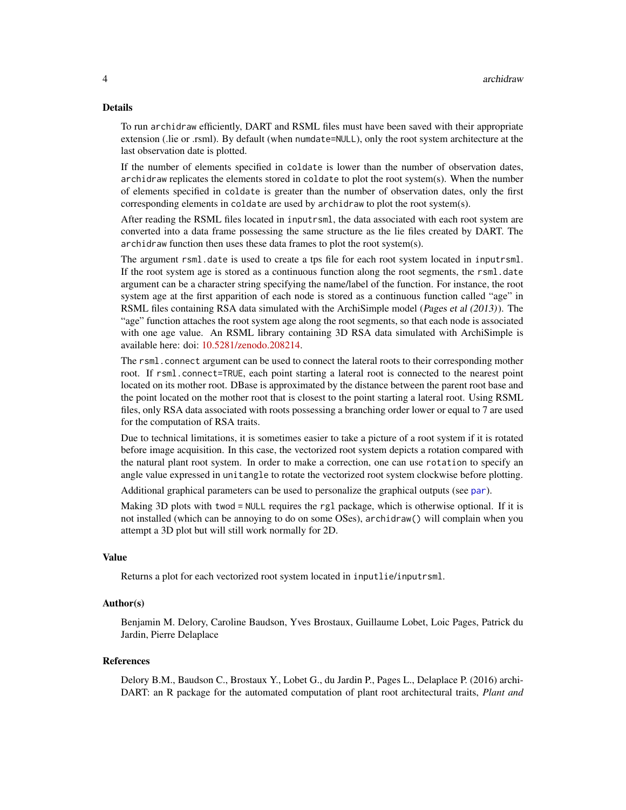#### <span id="page-3-0"></span>Details

To run archidraw efficiently, DART and RSML files must have been saved with their appropriate extension (.lie or .rsml). By default (when numdate=NULL), only the root system architecture at the last observation date is plotted.

If the number of elements specified in coldate is lower than the number of observation dates, archidraw replicates the elements stored in coldate to plot the root system(s). When the number of elements specified in coldate is greater than the number of observation dates, only the first corresponding elements in coldate are used by archidraw to plot the root system(s).

After reading the RSML files located in inputrsml, the data associated with each root system are converted into a data frame possessing the same structure as the lie files created by DART. The archidraw function then uses these data frames to plot the root system(s).

The argument rsml.date is used to create a tps file for each root system located in inputrsml. If the root system age is stored as a continuous function along the root segments, the rsml.date argument can be a character string specifying the name/label of the function. For instance, the root system age at the first apparition of each node is stored as a continuous function called "age" in RSML files containing RSA data simulated with the ArchiSimple model (Pages et al (2013)). The "age" function attaches the root system age along the root segments, so that each node is associated with one age value. An RSML library containing 3D RSA data simulated with ArchiSimple is available here: doi: [10.5281/zenodo.208214.](https://doi.org/10.5281/zenodo.208214)

The rsml.connect argument can be used to connect the lateral roots to their corresponding mother root. If rsml.connect=TRUE, each point starting a lateral root is connected to the nearest point located on its mother root. DBase is approximated by the distance between the parent root base and the point located on the mother root that is closest to the point starting a lateral root. Using RSML files, only RSA data associated with roots possessing a branching order lower or equal to 7 are used for the computation of RSA traits.

Due to technical limitations, it is sometimes easier to take a picture of a root system if it is rotated before image acquisition. In this case, the vectorized root system depicts a rotation compared with the natural plant root system. In order to make a correction, one can use rotation to specify an angle value expressed in unitangle to rotate the vectorized root system clockwise before plotting.

Additional graphical parameters can be used to personalize the graphical outputs (see [par](#page-0-0)).

Making 3D plots with twod = NULL requires the rg1 package, which is otherwise optional. If it is not installed (which can be annoying to do on some OSes), archidraw() will complain when you attempt a 3D plot but will still work normally for 2D.

#### Value

Returns a plot for each vectorized root system located in inputlie/inputrsml.

#### Author(s)

Benjamin M. Delory, Caroline Baudson, Yves Brostaux, Guillaume Lobet, Loic Pages, Patrick du Jardin, Pierre Delaplace

#### References

Delory B.M., Baudson C., Brostaux Y., Lobet G., du Jardin P., Pages L., Delaplace P. (2016) archi-DART: an R package for the automated computation of plant root architectural traits, *Plant and*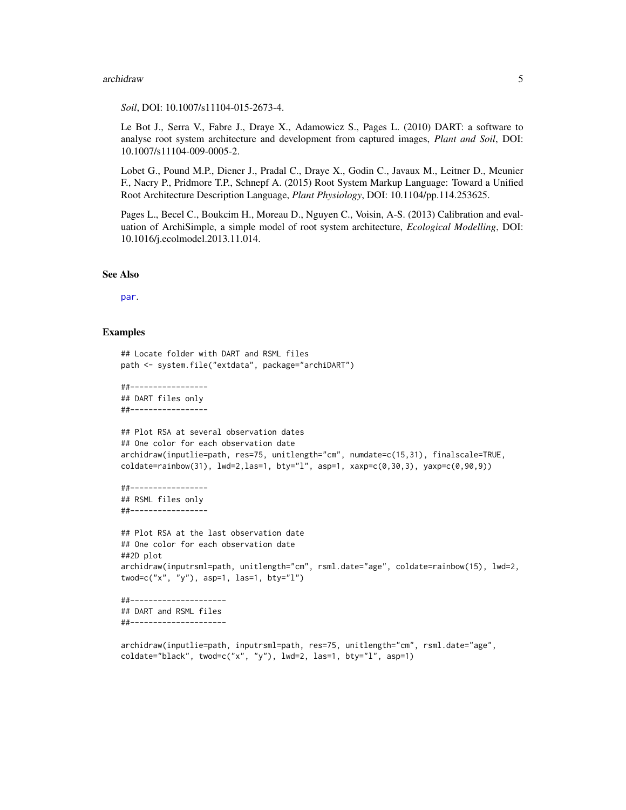#### <span id="page-4-0"></span>archidraw 5

#### *Soil*, DOI: 10.1007/s11104-015-2673-4.

Le Bot J., Serra V., Fabre J., Draye X., Adamowicz S., Pages L. (2010) DART: a software to analyse root system architecture and development from captured images, *Plant and Soil*, DOI: 10.1007/s11104-009-0005-2.

Lobet G., Pound M.P., Diener J., Pradal C., Draye X., Godin C., Javaux M., Leitner D., Meunier F., Nacry P., Pridmore T.P., Schnepf A. (2015) Root System Markup Language: Toward a Unified Root Architecture Description Language, *Plant Physiology*, DOI: 10.1104/pp.114.253625.

Pages L., Becel C., Boukcim H., Moreau D., Nguyen C., Voisin, A-S. (2013) Calibration and evaluation of ArchiSimple, a simple model of root system architecture, *Ecological Modelling*, DOI: 10.1016/j.ecolmodel.2013.11.014.

#### See Also

[par](#page-0-0).

#### Examples

```
## Locate folder with DART and RSML files
path <- system.file("extdata", package="archiDART")
##-----------------
## DART files only
##-----------------
## Plot RSA at several observation dates
## One color for each observation date
archidraw(inputlie=path, res=75, unitlength="cm", numdate=c(15,31), finalscale=TRUE,
\text{coldate=rainbow}(31), \text{ lwd=2}, \text{las=1}, \text{ bty=''1''}, \text{asp=1}, \text{xaxp=c}(0,30,3), \text{yaxp=c}(0,90,9))##-----------------
## RSML files only
##-----------------
## Plot RSA at the last observation date
## One color for each observation date
##2D plot
archidraw(inputrsml=path, unitlength="cm", rsml.date="age", coldate=rainbow(15), lwd=2,
twod=c("x", "y"), asp=1, las=1, bty="l")
##---------------------
## DART and RSML files
##---------------------
archidraw(inputlie=path, inputrsml=path, res=75, unitlength="cm", rsml.date="age",
coldate="black", twod=c("x", "y"), lwd=2, las=1, bty="l", asp=1)
```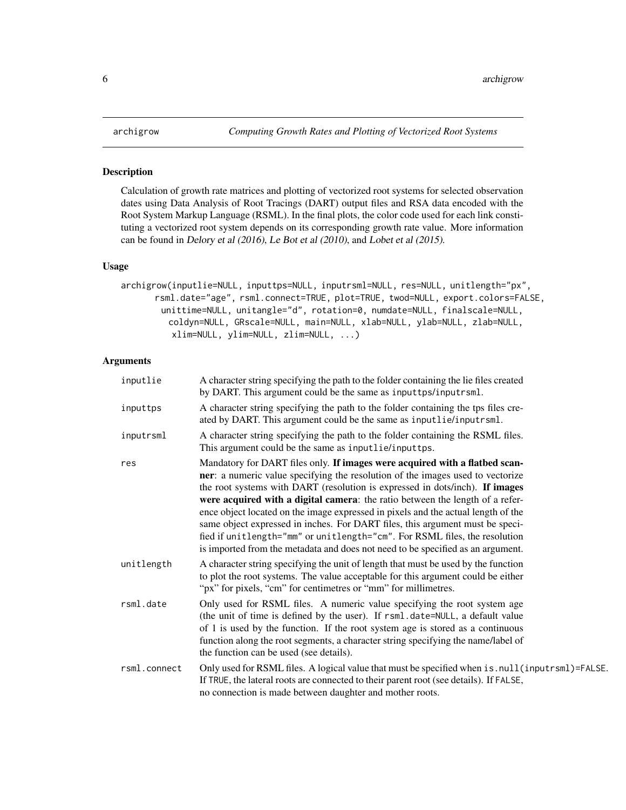#### <span id="page-5-0"></span>Description

Calculation of growth rate matrices and plotting of vectorized root systems for selected observation dates using Data Analysis of Root Tracings (DART) output files and RSA data encoded with the Root System Markup Language (RSML). In the final plots, the color code used for each link constituting a vectorized root system depends on its corresponding growth rate value. More information can be found in Delory et al (2016), Le Bot et al (2010), and Lobet et al (2015).

#### Usage

```
archigrow(inputlie=NULL, inputtps=NULL, inputrsml=NULL, res=NULL, unitlength="px",
      rsml.date="age", rsml.connect=TRUE, plot=TRUE, twod=NULL, export.colors=FALSE,
       unittime=NULL, unitangle="d", rotation=0, numdate=NULL, finalscale=NULL,
         coldyn=NULL, GRscale=NULL, main=NULL, xlab=NULL, ylab=NULL, zlab=NULL,
          xlim=NULL, ylim=NULL, zlim=NULL, ...)
```
#### Arguments

| inputlie     | A character string specifying the path to the folder containing the lie files created<br>by DART. This argument could be the same as inputtps/inputrsml.                                                                                                                                                                                                                                                                                                                                                                                                                                                                                                              |
|--------------|-----------------------------------------------------------------------------------------------------------------------------------------------------------------------------------------------------------------------------------------------------------------------------------------------------------------------------------------------------------------------------------------------------------------------------------------------------------------------------------------------------------------------------------------------------------------------------------------------------------------------------------------------------------------------|
| inputtps     | A character string specifying the path to the folder containing the tps files cre-<br>ated by DART. This argument could be the same as inputlie/inputrsml.                                                                                                                                                                                                                                                                                                                                                                                                                                                                                                            |
| inputrsml    | A character string specifying the path to the folder containing the RSML files.<br>This argument could be the same as inputlie/inputtps.                                                                                                                                                                                                                                                                                                                                                                                                                                                                                                                              |
| res          | Mandatory for DART files only. If images were acquired with a flatbed scan-<br>ner: a numeric value specifying the resolution of the images used to vectorize<br>the root systems with DART (resolution is expressed in dots/inch). If images<br>were acquired with a digital camera: the ratio between the length of a refer-<br>ence object located on the image expressed in pixels and the actual length of the<br>same object expressed in inches. For DART files, this argument must be speci-<br>fied if unitlength="mm" or unitlength="cm". For RSML files, the resolution<br>is imported from the metadata and does not need to be specified as an argument. |
| unitlength   | A character string specifying the unit of length that must be used by the function<br>to plot the root systems. The value acceptable for this argument could be either<br>"px" for pixels, "cm" for centimetres or "mm" for millimetres.                                                                                                                                                                                                                                                                                                                                                                                                                              |
| rsml.date    | Only used for RSML files. A numeric value specifying the root system age<br>(the unit of time is defined by the user). If rsml.date=NULL, a default value<br>of 1 is used by the function. If the root system age is stored as a continuous<br>function along the root segments, a character string specifying the name/label of<br>the function can be used (see details).                                                                                                                                                                                                                                                                                           |
| rsml.connect | Only used for RSML files. A logical value that must be specified when is . null (inputrsml)=FALSE.<br>If TRUE, the lateral roots are connected to their parent root (see details). If FALSE,<br>no connection is made between daughter and mother roots.                                                                                                                                                                                                                                                                                                                                                                                                              |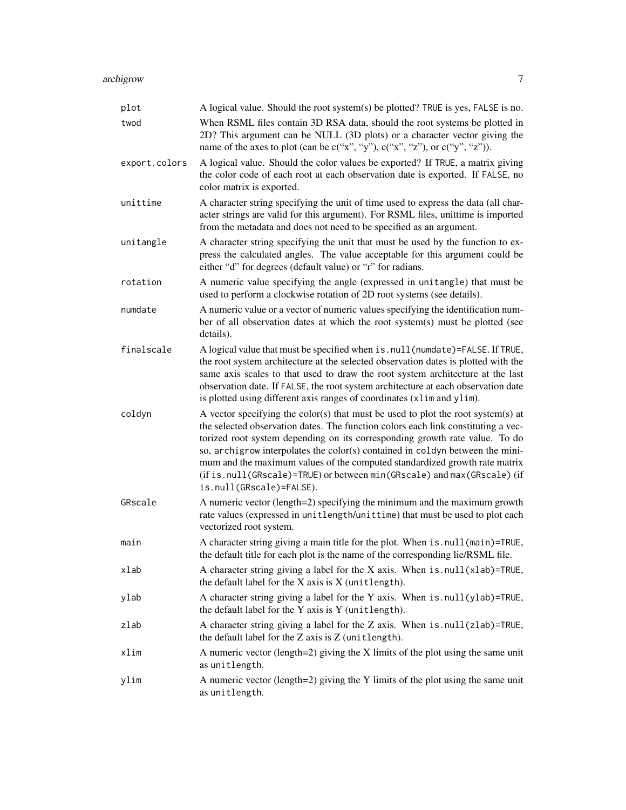| plot          | A logical value. Should the root system(s) be plotted? TRUE is yes, FALSE is no.                                                                                                                                                                                                                                                                                                                                                                                                                                           |
|---------------|----------------------------------------------------------------------------------------------------------------------------------------------------------------------------------------------------------------------------------------------------------------------------------------------------------------------------------------------------------------------------------------------------------------------------------------------------------------------------------------------------------------------------|
| twod          | When RSML files contain 3D RSA data, should the root systems be plotted in<br>2D? This argument can be NULL (3D plots) or a character vector giving the<br>name of the axes to plot (can be $c("x", "y"), c("x", "z"),$ or $c("y", "z").$ ).                                                                                                                                                                                                                                                                               |
| export.colors | A logical value. Should the color values be exported? If TRUE, a matrix giving<br>the color code of each root at each observation date is exported. If FALSE, no<br>color matrix is exported.                                                                                                                                                                                                                                                                                                                              |
| unittime      | A character string specifying the unit of time used to express the data (all char-<br>acter strings are valid for this argument). For RSML files, unittime is imported<br>from the metadata and does not need to be specified as an argument.                                                                                                                                                                                                                                                                              |
| unitangle     | A character string specifying the unit that must be used by the function to ex-<br>press the calculated angles. The value acceptable for this argument could be<br>either "d" for degrees (default value) or "r" for radians.                                                                                                                                                                                                                                                                                              |
| rotation      | A numeric value specifying the angle (expressed in unitangle) that must be<br>used to perform a clockwise rotation of 2D root systems (see details).                                                                                                                                                                                                                                                                                                                                                                       |
| numdate       | A numeric value or a vector of numeric values specifying the identification num-<br>ber of all observation dates at which the root system(s) must be plotted (see<br>details).                                                                                                                                                                                                                                                                                                                                             |
| finalscale    | A logical value that must be specified when is.null(numdate)=FALSE. If TRUE,<br>the root system architecture at the selected observation dates is plotted with the<br>same axis scales to that used to draw the root system architecture at the last<br>observation date. If FALSE, the root system architecture at each observation date<br>is plotted using different axis ranges of coordinates (x1im and y1im).                                                                                                        |
| coldyn        | A vector specifying the color(s) that must be used to plot the root system(s) at<br>the selected observation dates. The function colors each link constituting a vec-<br>torized root system depending on its corresponding growth rate value. To do<br>so, archigrow interpolates the color(s) contained in coldyn between the mini-<br>mum and the maximum values of the computed standardized growth rate matrix<br>(if is.null(GRscale)=TRUE) or between min(GRscale) and max(GRscale) (if<br>is.null(GRscale)=FALSE). |
| GRscale       | A numeric vector (length=2) specifying the minimum and the maximum growth<br>rate values (expressed in unitlength/unittime) that must be used to plot each<br>vectorized root system.                                                                                                                                                                                                                                                                                                                                      |
| main          | A character string giving a main title for the plot. When is . null (main)=TRUE,<br>the default title for each plot is the name of the corresponding lie/RSML file.                                                                                                                                                                                                                                                                                                                                                        |
| xlab          | A character string giving a label for the X axis. When $is. null(xlab)$ =TRUE,<br>the default label for the $X$ axis is $X$ (unitlength).                                                                                                                                                                                                                                                                                                                                                                                  |
| ylab          | A character string giving a label for the Y axis. When is . null(ylab)=TRUE,<br>the default label for the Y axis is Y (unitlength).                                                                                                                                                                                                                                                                                                                                                                                        |
| zlab          | A character string giving a label for the Z axis. When is . null(zlab)=TRUE,<br>the default label for the Z axis is Z (unitlength).                                                                                                                                                                                                                                                                                                                                                                                        |
| xlim          | A numeric vector (length=2) giving the $X$ limits of the plot using the same unit<br>as unitlength.                                                                                                                                                                                                                                                                                                                                                                                                                        |
| ylim          | A numeric vector (length=2) giving the Y limits of the plot using the same unit<br>as unitlength.                                                                                                                                                                                                                                                                                                                                                                                                                          |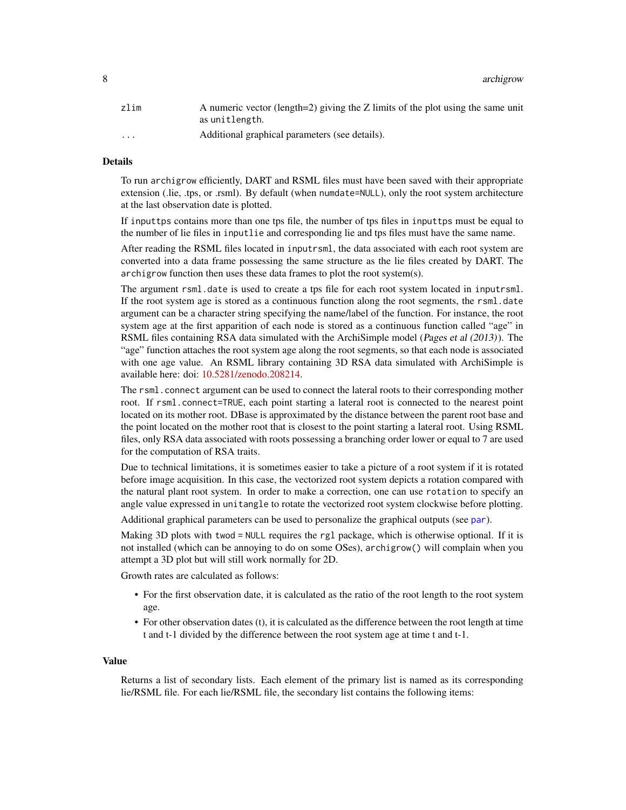<span id="page-7-0"></span>8 archigrow and the contract of the contract of the contract of the contract of the contract of the contract of the contract of the contract of the contract of the contract of the contract of the contract of the contract o

| zlim                    | A numeric vector (length=2) giving the Z limits of the plot using the same unit |
|-------------------------|---------------------------------------------------------------------------------|
|                         | as unitlength.                                                                  |
| $\cdot$ $\cdot$ $\cdot$ | Additional graphical parameters (see details).                                  |

#### Details

To run archigrow efficiently, DART and RSML files must have been saved with their appropriate extension (.lie, .tps, or .rsml). By default (when numdate=NULL), only the root system architecture at the last observation date is plotted.

If inputtps contains more than one tps file, the number of tps files in inputtps must be equal to the number of lie files in inputlie and corresponding lie and tps files must have the same name.

After reading the RSML files located in inputrsml, the data associated with each root system are converted into a data frame possessing the same structure as the lie files created by DART. The archigrow function then uses these data frames to plot the root system(s).

The argument rsml.date is used to create a tps file for each root system located in inputrsml. If the root system age is stored as a continuous function along the root segments, the rsml.date argument can be a character string specifying the name/label of the function. For instance, the root system age at the first apparition of each node is stored as a continuous function called "age" in RSML files containing RSA data simulated with the ArchiSimple model (Pages et al (2013)). The "age" function attaches the root system age along the root segments, so that each node is associated with one age value. An RSML library containing 3D RSA data simulated with ArchiSimple is available here: doi: [10.5281/zenodo.208214.](https://doi.org/10.5281/zenodo.208214)

The rsml.connect argument can be used to connect the lateral roots to their corresponding mother root. If rsml.connect=TRUE, each point starting a lateral root is connected to the nearest point located on its mother root. DBase is approximated by the distance between the parent root base and the point located on the mother root that is closest to the point starting a lateral root. Using RSML files, only RSA data associated with roots possessing a branching order lower or equal to 7 are used for the computation of RSA traits.

Due to technical limitations, it is sometimes easier to take a picture of a root system if it is rotated before image acquisition. In this case, the vectorized root system depicts a rotation compared with the natural plant root system. In order to make a correction, one can use rotation to specify an angle value expressed in unitangle to rotate the vectorized root system clockwise before plotting.

Additional graphical parameters can be used to personalize the graphical outputs (see [par](#page-0-0)).

Making 3D plots with twod = NULL requires the rgl package, which is otherwise optional. If it is not installed (which can be annoying to do on some OSes), archigrow() will complain when you attempt a 3D plot but will still work normally for 2D.

Growth rates are calculated as follows:

- For the first observation date, it is calculated as the ratio of the root length to the root system age.
- For other observation dates (t), it is calculated as the difference between the root length at time t and t-1 divided by the difference between the root system age at time t and t-1.

#### Value

Returns a list of secondary lists. Each element of the primary list is named as its corresponding lie/RSML file. For each lie/RSML file, the secondary list contains the following items: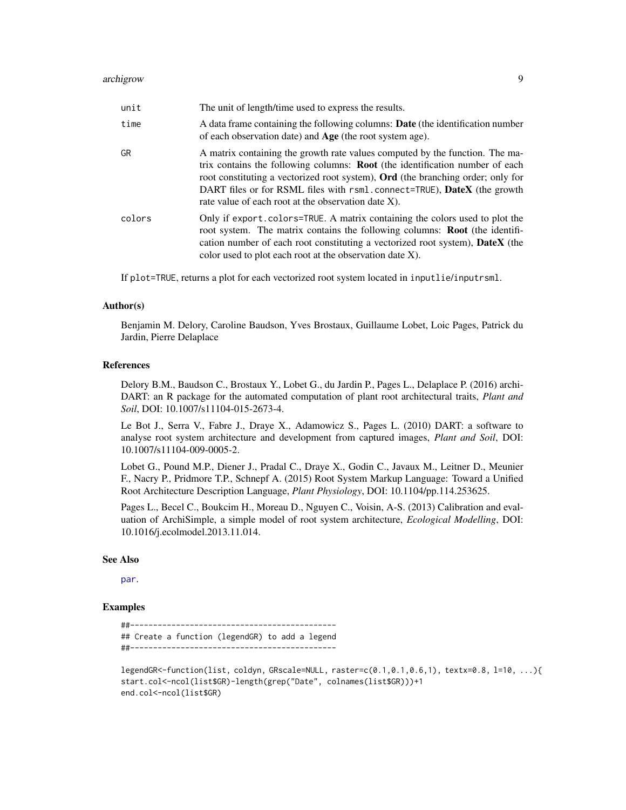<span id="page-8-0"></span>

| unit   | The unit of length/time used to express the results.                                                                                                                                                                                                                                                                                                                                                   |
|--------|--------------------------------------------------------------------------------------------------------------------------------------------------------------------------------------------------------------------------------------------------------------------------------------------------------------------------------------------------------------------------------------------------------|
| time   | A data frame containing the following columns: Date (the identification number<br>of each observation date) and <b>Age</b> (the root system age).                                                                                                                                                                                                                                                      |
| GR     | A matrix containing the growth rate values computed by the function. The ma-<br>trix contains the following columns: <b>Root</b> (the identification number of each<br>root constituting a vectorized root system), <b>Ord</b> (the branching order; only for<br>DART files or for RSML files with rsml.connect=TRUE), <b>DateX</b> (the growth<br>rate value of each root at the observation date X). |
| colors | Only if export. colors=TRUE. A matrix containing the colors used to plot the<br>root system. The matrix contains the following columns: Root (the identifi-<br>cation number of each root constituting a vectorized root system), <b>DateX</b> (the<br>color used to plot each root at the observation date X).                                                                                        |

If plot=TRUE, returns a plot for each vectorized root system located in inputlie/inputrsml.

#### Author(s)

Benjamin M. Delory, Caroline Baudson, Yves Brostaux, Guillaume Lobet, Loic Pages, Patrick du Jardin, Pierre Delaplace

#### References

Delory B.M., Baudson C., Brostaux Y., Lobet G., du Jardin P., Pages L., Delaplace P. (2016) archi-DART: an R package for the automated computation of plant root architectural traits, *Plant and Soil*, DOI: 10.1007/s11104-015-2673-4.

Le Bot J., Serra V., Fabre J., Draye X., Adamowicz S., Pages L. (2010) DART: a software to analyse root system architecture and development from captured images, *Plant and Soil*, DOI: 10.1007/s11104-009-0005-2.

Lobet G., Pound M.P., Diener J., Pradal C., Draye X., Godin C., Javaux M., Leitner D., Meunier F., Nacry P., Pridmore T.P., Schnepf A. (2015) Root System Markup Language: Toward a Unified Root Architecture Description Language, *Plant Physiology*, DOI: 10.1104/pp.114.253625.

Pages L., Becel C., Boukcim H., Moreau D., Nguyen C., Voisin, A-S. (2013) Calibration and evaluation of ArchiSimple, a simple model of root system architecture, *Ecological Modelling*, DOI: 10.1016/j.ecolmodel.2013.11.014.

#### See Also

[par](#page-0-0).

#### Examples

```
##---------------------------------------------
## Create a function (legendGR) to add a legend
##---------------------------------------------
```
legendGR<-function(list, coldyn, GRscale=NULL, raster=c(0.1,0.1,0.6,1), textx=0.8, l=10, ...){ start.col<-ncol(list\$GR)-length(grep("Date", colnames(list\$GR)))+1 end.col<-ncol(list\$GR)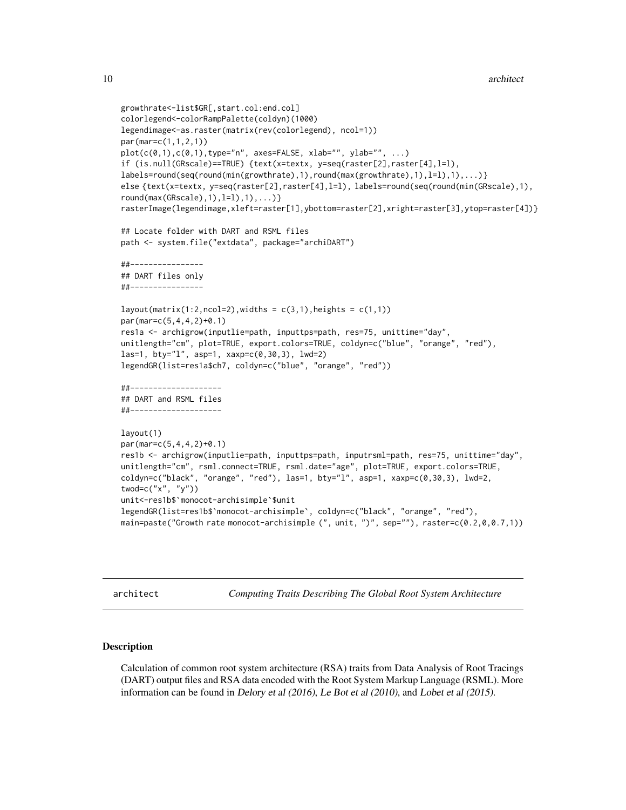```
growthrate<-list$GR[,start.col:end.col]
colorlegend<-colorRampPalette(coldyn)(1000)
legendimage<-as.raster(matrix(rev(colorlegend), ncol=1))
par(mar=c(1,1,2,1))
plot(c(\emptyset,1),c(\emptyset,1),type="n", axes=FALSE, xlab="", ylab="", ...)if (is.null(GRscale)==TRUE) {text(x=textx, y=seq(raster[2],raster[4],l=l),
labels=round(seq(round(min(growthrate),1),round(max(growthrate),1),l=l),1),...)}
else {text(x=textx, y=seq(raster[2],raster[4],l=l), labels=round(seq(round(min(GRscale),1),
round(max(GRscale),1),l=1),1),\ldots)rasterImage(legendimage,xleft=raster[1],ybottom=raster[2],xright=raster[3],ytop=raster[4])}
## Locate folder with DART and RSML files
path <- system.file("extdata", package="archiDART")
##----------------
## DART files only
##----------------
layout(maxrix(1:2,ncol=2),width = c(3,1),height = c(1,1))par(mar=c(5,4,4,2)+0.1)
res1a <- archigrow(inputlie=path, inputtps=path, res=75, unittime="day",
unitlength="cm", plot=TRUE, export.colors=TRUE, coldyn=c("blue", "orange", "red"),
las=1, bty="l", asp=1, xaxp=c(0,30,3), lwd=2)
legendGR(list=res1a$ch7, coldyn=c("blue", "orange", "red"))
##--------------------
## DART and RSML files
##--------------------
layout(1)
par(mar=c(5,4,4,2)+0.1)
res1b <- archigrow(inputlie=path, inputtps=path, inputrsml=path, res=75, unittime="day",
unitlength="cm", rsml.connect=TRUE, rsml.date="age", plot=TRUE, export.colors=TRUE,
\text{codyn=c("black", "orange", "red"), las=1, bty="1", asp=1, xaxp=c(0,30,3), lwd=2,twod=c("x", "y"))
unit<-res1b$`monocot-archisimple`$unit
legendGR(list=res1b$`monocot-archisimple`, coldyn=c("black", "orange", "red"),
main=paste("Growth rate monocot-archisimple (", unit, ")", sep=""), raster=c(0.2,0,0.7,1))
```
architect *Computing Traits Describing The Global Root System Architecture*

#### Description

Calculation of common root system architecture (RSA) traits from Data Analysis of Root Tracings (DART) output files and RSA data encoded with the Root System Markup Language (RSML). More information can be found in Delory et al (2016), Le Bot et al (2010), and Lobet et al (2015).

<span id="page-9-0"></span>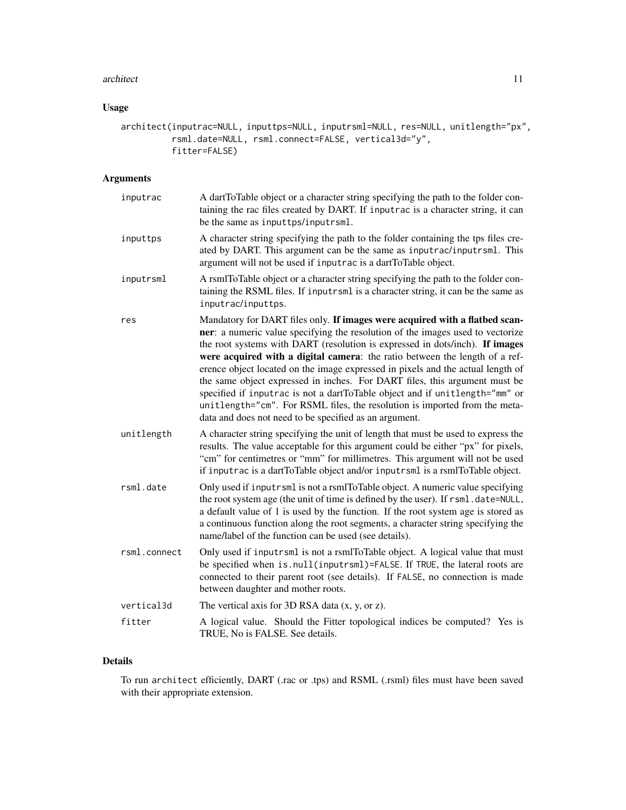#### architect 11

### Usage

```
architect(inputrac=NULL, inputtps=NULL, inputrsml=NULL, res=NULL, unitlength="px",
          rsml.date=NULL, rsml.connect=FALSE, vertical3d="y",
          fitter=FALSE)
```
### Arguments

| inputrac     | A dartToTable object or a character string specifying the path to the folder con-<br>taining the rac files created by DART. If inputrac is a character string, it can<br>be the same as inputtps/inputrsml.                                                                                                                                                                                                                                                                                                                                                                                                                                                                                                          |
|--------------|----------------------------------------------------------------------------------------------------------------------------------------------------------------------------------------------------------------------------------------------------------------------------------------------------------------------------------------------------------------------------------------------------------------------------------------------------------------------------------------------------------------------------------------------------------------------------------------------------------------------------------------------------------------------------------------------------------------------|
| inputtps     | A character string specifying the path to the folder containing the tps files cre-<br>ated by DART. This argument can be the same as inputrac/inputrsml. This<br>argument will not be used if inputrac is a dartToTable object.                                                                                                                                                                                                                                                                                                                                                                                                                                                                                      |
| inputrsml    | A rsmlToTable object or a character string specifying the path to the folder con-<br>taining the RSML files. If inputrsml is a character string, it can be the same as<br>inputrac/inputtps.                                                                                                                                                                                                                                                                                                                                                                                                                                                                                                                         |
| res          | Mandatory for DART files only. If images were acquired with a flatbed scan-<br>ner: a numeric value specifying the resolution of the images used to vectorize<br>the root systems with DART (resolution is expressed in dots/inch). If images<br>were acquired with a digital camera: the ratio between the length of a ref-<br>erence object located on the image expressed in pixels and the actual length of<br>the same object expressed in inches. For DART files, this argument must be<br>specified if inputrac is not a dartToTable object and if unitlength="mm" or<br>unitlength="cm". For RSML files, the resolution is imported from the meta-<br>data and does not need to be specified as an argument. |
| unitlength   | A character string specifying the unit of length that must be used to express the<br>results. The value acceptable for this argument could be either "px" for pixels,<br>"cm" for centimetres or "mm" for millimetres. This argument will not be used<br>if inputrac is a dartToTable object and/or inputrsml is a rsmlToTable object.                                                                                                                                                                                                                                                                                                                                                                               |
| rsml.date    | Only used if inputrsml is not a rsmlToTable object. A numeric value specifying<br>the root system age (the unit of time is defined by the user). If rsml.date=NULL,<br>a default value of 1 is used by the function. If the root system age is stored as<br>a continuous function along the root segments, a character string specifying the<br>name/label of the function can be used (see details).                                                                                                                                                                                                                                                                                                                |
| rsml.connect | Only used if inputrsml is not a rsmlToTable object. A logical value that must<br>be specified when is.null(inputrsml)=FALSE. If TRUE, the lateral roots are<br>connected to their parent root (see details). If FALSE, no connection is made<br>between daughter and mother roots.                                                                                                                                                                                                                                                                                                                                                                                                                                   |
| vertical3d   | The vertical axis for $3D$ RSA data $(x, y, or z)$ .                                                                                                                                                                                                                                                                                                                                                                                                                                                                                                                                                                                                                                                                 |
| fitter       | A logical value. Should the Fitter topological indices be computed? Yes is<br>TRUE, No is FALSE. See details.                                                                                                                                                                                                                                                                                                                                                                                                                                                                                                                                                                                                        |

### Details

To run architect efficiently, DART (.rac or .tps) and RSML (.rsml) files must have been saved with their appropriate extension.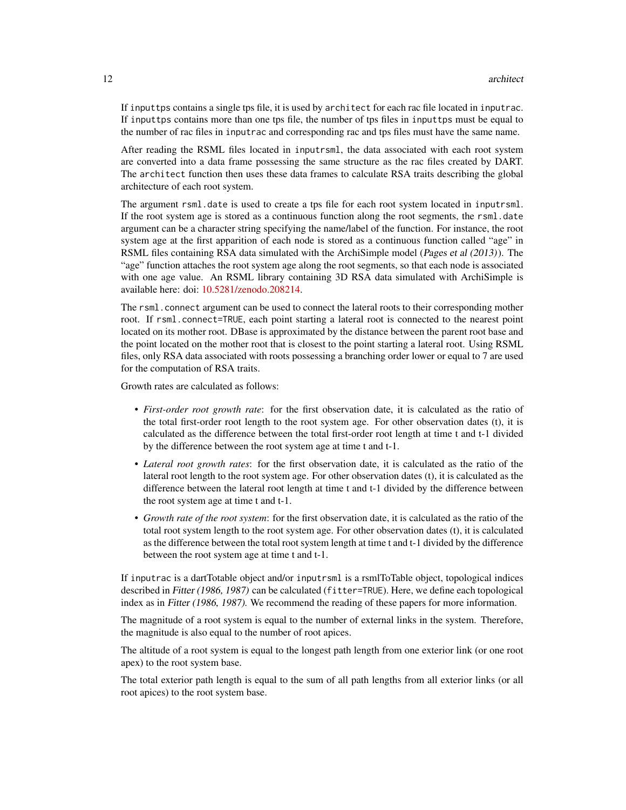If inputtps contains a single tps file, it is used by architect for each rac file located in inputrac. If inputtps contains more than one tps file, the number of tps files in inputtps must be equal to the number of rac files in inputrac and corresponding rac and tps files must have the same name.

After reading the RSML files located in inputrsml, the data associated with each root system are converted into a data frame possessing the same structure as the rac files created by DART. The architect function then uses these data frames to calculate RSA traits describing the global architecture of each root system.

The argument rsml.date is used to create a tps file for each root system located in inputrsml. If the root system age is stored as a continuous function along the root segments, the rsml.date argument can be a character string specifying the name/label of the function. For instance, the root system age at the first apparition of each node is stored as a continuous function called "age" in RSML files containing RSA data simulated with the ArchiSimple model (Pages et al (2013)). The "age" function attaches the root system age along the root segments, so that each node is associated with one age value. An RSML library containing 3D RSA data simulated with ArchiSimple is available here: doi: [10.5281/zenodo.208214.](https://doi.org/10.5281/zenodo.208214)

The rsml.connect argument can be used to connect the lateral roots to their corresponding mother root. If rsml.connect=TRUE, each point starting a lateral root is connected to the nearest point located on its mother root. DBase is approximated by the distance between the parent root base and the point located on the mother root that is closest to the point starting a lateral root. Using RSML files, only RSA data associated with roots possessing a branching order lower or equal to 7 are used for the computation of RSA traits.

Growth rates are calculated as follows:

- *First-order root growth rate*: for the first observation date, it is calculated as the ratio of the total first-order root length to the root system age. For other observation dates (t), it is calculated as the difference between the total first-order root length at time t and t-1 divided by the difference between the root system age at time t and t-1.
- *Lateral root growth rates*: for the first observation date, it is calculated as the ratio of the lateral root length to the root system age. For other observation dates (t), it is calculated as the difference between the lateral root length at time t and t-1 divided by the difference between the root system age at time t and t-1.
- *Growth rate of the root system*: for the first observation date, it is calculated as the ratio of the total root system length to the root system age. For other observation dates (t), it is calculated as the difference between the total root system length at time t and t-1 divided by the difference between the root system age at time t and t-1.

If inputrac is a dartTotable object and/or inputrsml is a rsmlToTable object, topological indices described in Fitter (1986, 1987) can be calculated (fitter=TRUE). Here, we define each topological index as in Fitter (1986, 1987). We recommend the reading of these papers for more information.

The magnitude of a root system is equal to the number of external links in the system. Therefore, the magnitude is also equal to the number of root apices.

The altitude of a root system is equal to the longest path length from one exterior link (or one root apex) to the root system base.

The total exterior path length is equal to the sum of all path lengths from all exterior links (or all root apices) to the root system base.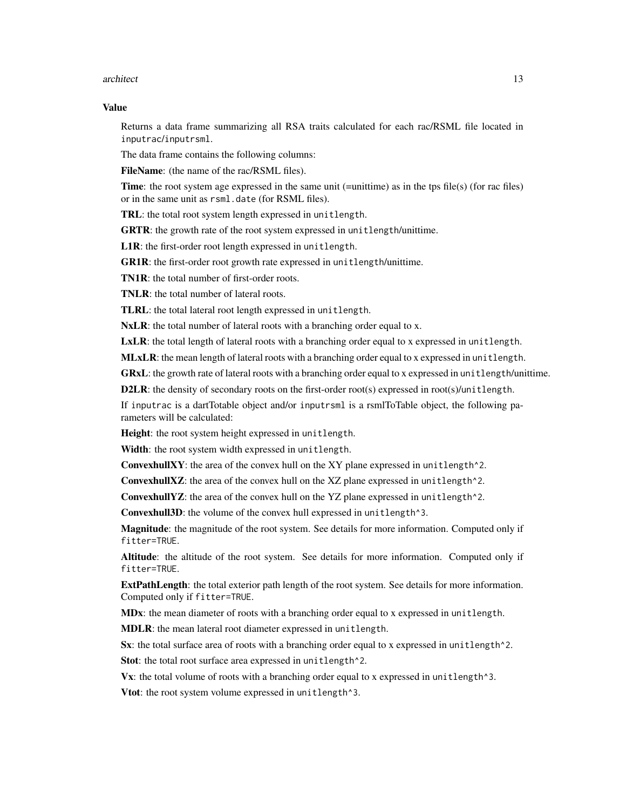#### architect 13

#### Value

Returns a data frame summarizing all RSA traits calculated for each rac/RSML file located in inputrac/inputrsml.

The data frame contains the following columns:

FileName: (the name of the rac/RSML files).

Time: the root system age expressed in the same unit (=unittime) as in the tps file(s) (for rac files) or in the same unit as rsml.date (for RSML files).

TRL: the total root system length expressed in unitlength.

GRTR: the growth rate of the root system expressed in unitlength/unittime.

L1R: the first-order root length expressed in unitlength.

GR1R: the first-order root growth rate expressed in unitlength/unittime.

TN1R: the total number of first-order roots.

TNLR: the total number of lateral roots.

TLRL: the total lateral root length expressed in unitlength.

NxLR: the total number of lateral roots with a branching order equal to x.

LxLR: the total length of lateral roots with a branching order equal to x expressed in unitlength.

MLxLR: the mean length of lateral roots with a branching order equal to x expressed in unitlength.

GRxL: the growth rate of lateral roots with a branching order equal to x expressed in unitlength/unittime.

D2LR: the density of secondary roots on the first-order root(s) expressed in root(s)/unitlength.

If inputrac is a dartTotable object and/or inputrsml is a rsmlToTable object, the following parameters will be calculated:

Height: the root system height expressed in unitlength.

Width: the root system width expressed in unitlength.

ConvexhullXY: the area of the convex hull on the XY plane expressed in unitlength^2.

ConvexhullXZ: the area of the convex hull on the XZ plane expressed in unitlength<sup> $\lambda$ 2.</sup>

ConvexhullYZ: the area of the convex hull on the YZ plane expressed in unitlength^2.

Convexhull3D: the volume of the convex hull expressed in unitlength^3.

Magnitude: the magnitude of the root system. See details for more information. Computed only if fitter=TRUE.

Altitude: the altitude of the root system. See details for more information. Computed only if fitter=TRUE.

ExtPathLength: the total exterior path length of the root system. See details for more information. Computed only if fitter=TRUE.

MDx: the mean diameter of roots with a branching order equal to x expressed in unitlength. MDLR: the mean lateral root diameter expressed in unitlength.

Sx: the total surface area of roots with a branching order equal to x expressed in unitlength<sup> $\lambda$ 2.</sup>

Stot: the total root surface area expressed in unitlength<sup>2</sup>.

 $Vx$ : the total volume of roots with a branching order equal to x expressed in unitlength  $\gamma$ 3.

Vtot: the root system volume expressed in unitlength<sup>^3</sup>.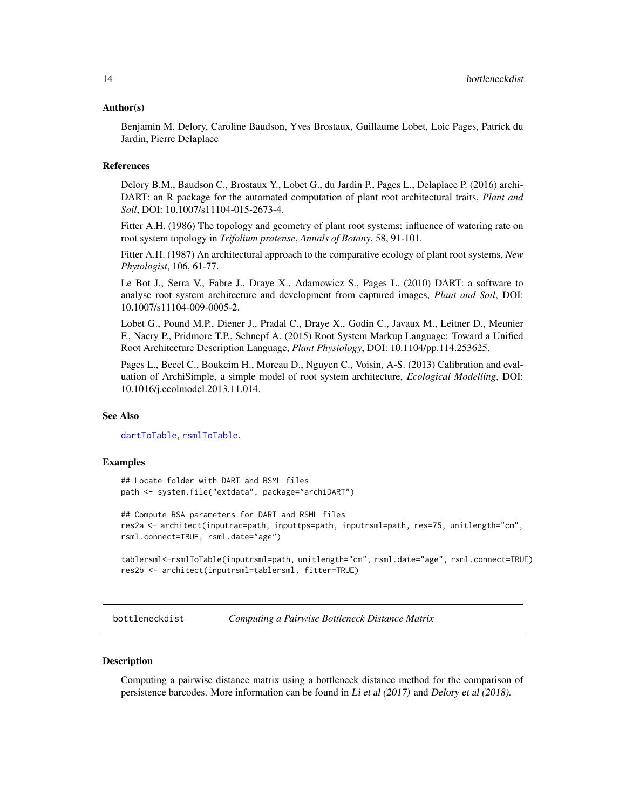#### <span id="page-13-0"></span>Author(s)

Benjamin M. Delory, Caroline Baudson, Yves Brostaux, Guillaume Lobet, Loic Pages, Patrick du Jardin, Pierre Delaplace

#### References

Delory B.M., Baudson C., Brostaux Y., Lobet G., du Jardin P., Pages L., Delaplace P. (2016) archi-DART: an R package for the automated computation of plant root architectural traits, *Plant and Soil*, DOI: 10.1007/s11104-015-2673-4.

Fitter A.H. (1986) The topology and geometry of plant root systems: influence of watering rate on root system topology in *Trifolium pratense*, *Annals of Botany*, 58, 91-101.

Fitter A.H. (1987) An architectural approach to the comparative ecology of plant root systems, *New Phytologist*, 106, 61-77.

Le Bot J., Serra V., Fabre J., Draye X., Adamowicz S., Pages L. (2010) DART: a software to analyse root system architecture and development from captured images, *Plant and Soil*, DOI: 10.1007/s11104-009-0005-2.

Lobet G., Pound M.P., Diener J., Pradal C., Draye X., Godin C., Javaux M., Leitner D., Meunier F., Nacry P., Pridmore T.P., Schnepf A. (2015) Root System Markup Language: Toward a Unified Root Architecture Description Language, *Plant Physiology*, DOI: 10.1104/pp.114.253625.

Pages L., Becel C., Boukcim H., Moreau D., Nguyen C., Voisin, A-S. (2013) Calibration and evaluation of ArchiSimple, a simple model of root system architecture, *Ecological Modelling*, DOI: 10.1016/j.ecolmodel.2013.11.014.

#### See Also

[dartToTable](#page-15-1), [rsmlToTable](#page-26-1).

#### Examples

## Locate folder with DART and RSML files path <- system.file("extdata", package="archiDART")

## Compute RSA parameters for DART and RSML files res2a <- architect(inputrac=path, inputtps=path, inputrsml=path, res=75, unitlength="cm", rsml.connect=TRUE, rsml.date="age")

tablersml<-rsmlToTable(inputrsml=path, unitlength="cm", rsml.date="age", rsml.connect=TRUE) res2b <- architect(inputrsml=tablersml, fitter=TRUE)

bottleneckdist *Computing a Pairwise Bottleneck Distance Matrix*

#### **Description**

Computing a pairwise distance matrix using a bottleneck distance method for the comparison of persistence barcodes. More information can be found in Li et al (2017) and Delory et al (2018).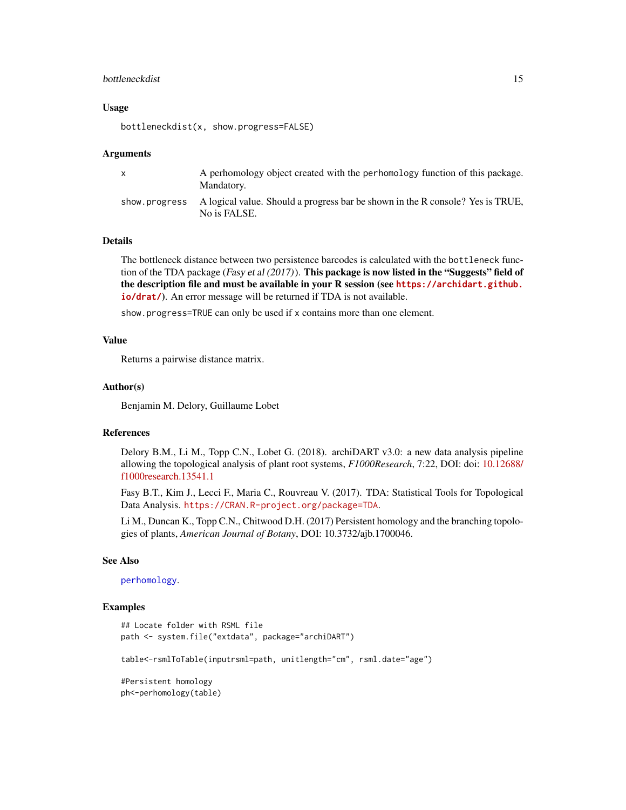#### <span id="page-14-0"></span>bottleneckdist 15

#### Usage

bottleneckdist(x, show.progress=FALSE)

#### Arguments

| $\mathsf{x}$ | A perhomology object created with the perhomology function of this package.<br>Mandatory.                    |
|--------------|--------------------------------------------------------------------------------------------------------------|
|              | show progress A logical value. Should a progress bar be shown in the R console? Yes is TRUE,<br>No is FALSE. |

#### Details

The bottleneck distance between two persistence barcodes is calculated with the bottleneck function of the TDA package (Fasy et al  $(2017)$ ). This package is now listed in the "Suggests" field of the description file and must be available in your R session (see **[https://archidart.github.](https://archidart.github.io/drat/) [io/drat/](https://archidart.github.io/drat/)**). An error message will be returned if TDA is not available.

show.progress=TRUE can only be used if x contains more than one element.

#### Value

Returns a pairwise distance matrix.

#### Author(s)

Benjamin M. Delory, Guillaume Lobet

#### References

Delory B.M., Li M., Topp C.N., Lobet G. (2018). archiDART v3.0: a new data analysis pipeline allowing the topological analysis of plant root systems, *F1000Research*, 7:22, DOI: doi: [10.12688/](https://doi.org/10.12688/f1000research.13541.1) [f1000research.13541.1](https://doi.org/10.12688/f1000research.13541.1)

Fasy B.T., Kim J., Lecci F., Maria C., Rouvreau V. (2017). TDA: Statistical Tools for Topological Data Analysis. <https://CRAN.R-project.org/package=TDA>.

Li M., Duncan K., Topp C.N., Chitwood D.H. (2017) Persistent homology and the branching topologies of plants, *American Journal of Botany*, DOI: 10.3732/ajb.1700046.

#### See Also

[perhomology](#page-21-1).

#### Examples

```
## Locate folder with RSML file
path <- system.file("extdata", package="archiDART")
```
table<-rsmlToTable(inputrsml=path, unitlength="cm", rsml.date="age")

#Persistent homology ph<-perhomology(table)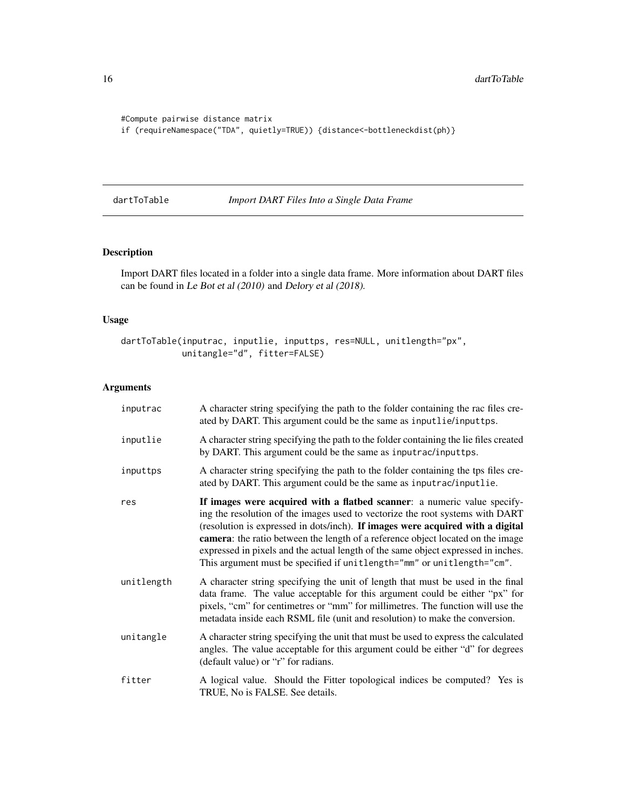```
#Compute pairwise distance matrix
if (requireNamespace("TDA", quietly=TRUE)) {distance<-bottleneckdist(ph)}
```
<span id="page-15-1"></span>dartToTable *Import DART Files Into a Single Data Frame*

#### Description

Import DART files located in a folder into a single data frame. More information about DART files can be found in Le Bot et al (2010) and Delory et al (2018).

#### Usage

```
dartToTable(inputrac, inputlie, inputtps, res=NULL, unitlength="px",
            unitangle="d", fitter=FALSE)
```
#### Arguments

| inputrac   | A character string specifying the path to the folder containing the rac files cre-<br>ated by DART. This argument could be the same as inputlie/inputtps.                                                                                                                                                                                                                                                                                                                                     |
|------------|-----------------------------------------------------------------------------------------------------------------------------------------------------------------------------------------------------------------------------------------------------------------------------------------------------------------------------------------------------------------------------------------------------------------------------------------------------------------------------------------------|
| inputlie   | A character string specifying the path to the folder containing the lie files created<br>by DART. This argument could be the same as inputrac/inputtps.                                                                                                                                                                                                                                                                                                                                       |
| inputtps   | A character string specifying the path to the folder containing the tps files cre-<br>ated by DART. This argument could be the same as inputrac/inputlie.                                                                                                                                                                                                                                                                                                                                     |
| res        | If images were acquired with a flatbed scanner: a numeric value specify-<br>ing the resolution of the images used to vectorize the root systems with DART<br>(resolution is expressed in dots/inch). If images were acquired with a digital<br>camera: the ratio between the length of a reference object located on the image<br>expressed in pixels and the actual length of the same object expressed in inches.<br>This argument must be specified if unitlength="mm" or unitlength="cm". |
| unitlength | A character string specifying the unit of length that must be used in the final<br>data frame. The value acceptable for this argument could be either "px" for<br>pixels, "cm" for centimetres or "mm" for millimetres. The function will use the<br>metadata inside each RSML file (unit and resolution) to make the conversion.                                                                                                                                                             |
| unitangle  | A character string specifying the unit that must be used to express the calculated<br>angles. The value acceptable for this argument could be either "d" for degrees<br>(default value) or "r" for radians.                                                                                                                                                                                                                                                                                   |
| fitter     | A logical value. Should the Fitter topological indices be computed? Yes is<br>TRUE, No is FALSE. See details.                                                                                                                                                                                                                                                                                                                                                                                 |

<span id="page-15-0"></span>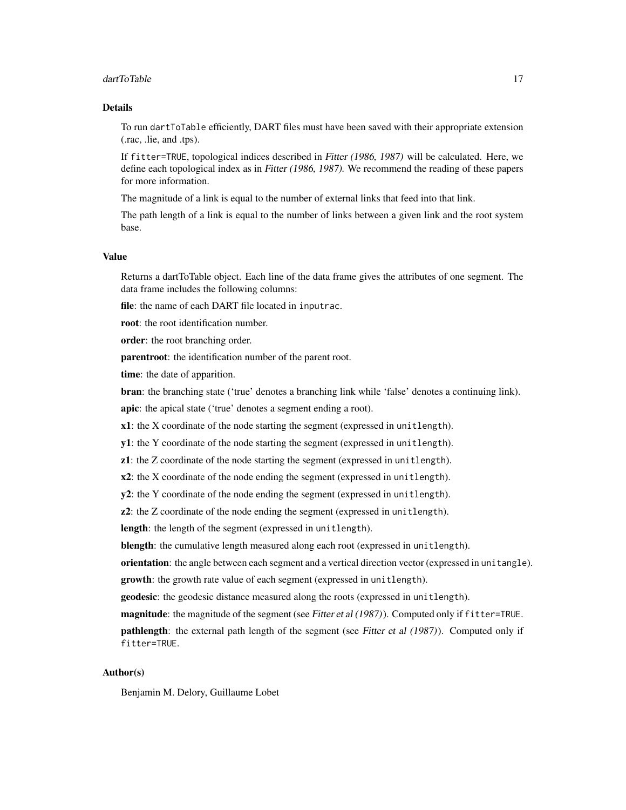#### dartToTable 17

#### Details

To run dartToTable efficiently, DART files must have been saved with their appropriate extension (.rac, .lie, and .tps).

If fitter=TRUE, topological indices described in Fitter (1986, 1987) will be calculated. Here, we define each topological index as in Fitter (1986, 1987). We recommend the reading of these papers for more information.

The magnitude of a link is equal to the number of external links that feed into that link.

The path length of a link is equal to the number of links between a given link and the root system base.

#### Value

Returns a dartToTable object. Each line of the data frame gives the attributes of one segment. The data frame includes the following columns:

file: the name of each DART file located in inputrac.

root: the root identification number.

order: the root branching order.

parentroot: the identification number of the parent root.

**time**: the date of apparition.

bran: the branching state ('true' denotes a branching link while 'false' denotes a continuing link).

apic: the apical state ('true' denotes a segment ending a root).

x1: the X coordinate of the node starting the segment (expressed in unitlength).

y1: the Y coordinate of the node starting the segment (expressed in unitlength).

z1: the Z coordinate of the node starting the segment (expressed in unitlength).

x2: the X coordinate of the node ending the segment (expressed in unitlength).

y2: the Y coordinate of the node ending the segment (expressed in unitlength).

z2: the Z coordinate of the node ending the segment (expressed in unitlength).

length: the length of the segment (expressed in unitlength).

blength: the cumulative length measured along each root (expressed in unitlength).

orientation: the angle between each segment and a vertical direction vector (expressed in unitangle). growth: the growth rate value of each segment (expressed in unitlength).

geodesic: the geodesic distance measured along the roots (expressed in unitlength).

magnitude: the magnitude of the segment (see Fitter et al (1987)). Computed only if fitter=TRUE.

**pathlength**: the external path length of the segment (see Fitter et al (1987)). Computed only if fitter=TRUE.

#### Author(s)

Benjamin M. Delory, Guillaume Lobet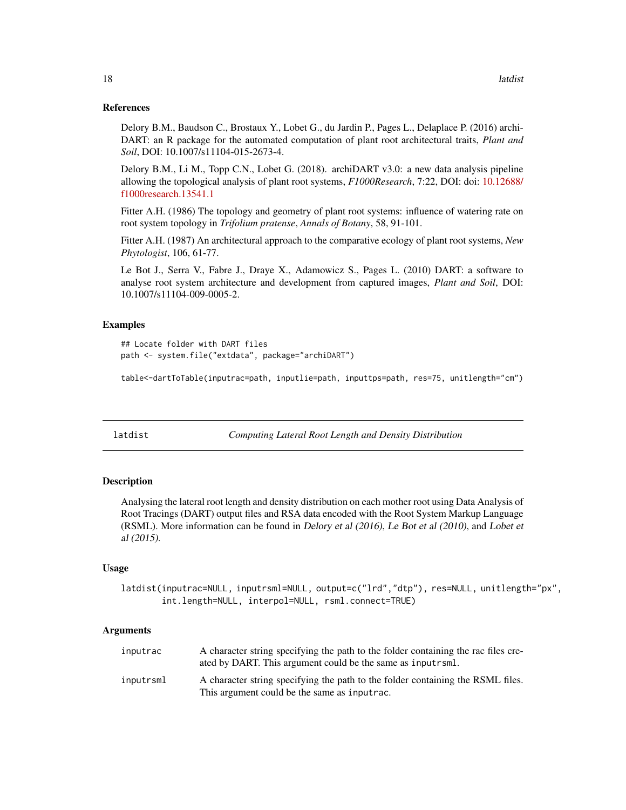#### <span id="page-17-0"></span>References

Delory B.M., Baudson C., Brostaux Y., Lobet G., du Jardin P., Pages L., Delaplace P. (2016) archi-DART: an R package for the automated computation of plant root architectural traits, *Plant and Soil*, DOI: 10.1007/s11104-015-2673-4.

Delory B.M., Li M., Topp C.N., Lobet G. (2018). archiDART v3.0: a new data analysis pipeline allowing the topological analysis of plant root systems, *F1000Research*, 7:22, DOI: doi: [10.12688/](https://doi.org/10.12688/f1000research.13541.1) [f1000research.13541.1](https://doi.org/10.12688/f1000research.13541.1)

Fitter A.H. (1986) The topology and geometry of plant root systems: influence of watering rate on root system topology in *Trifolium pratense*, *Annals of Botany*, 58, 91-101.

Fitter A.H. (1987) An architectural approach to the comparative ecology of plant root systems, *New Phytologist*, 106, 61-77.

Le Bot J., Serra V., Fabre J., Draye X., Adamowicz S., Pages L. (2010) DART: a software to analyse root system architecture and development from captured images, *Plant and Soil*, DOI: 10.1007/s11104-009-0005-2.

#### Examples

```
## Locate folder with DART files
path <- system.file("extdata", package="archiDART")
```
table<-dartToTable(inputrac=path, inputlie=path, inputtps=path, res=75, unitlength="cm")

latdist *Computing Lateral Root Length and Density Distribution*

#### Description

Analysing the lateral root length and density distribution on each mother root using Data Analysis of Root Tracings (DART) output files and RSA data encoded with the Root System Markup Language (RSML). More information can be found in Delory et al (2016), Le Bot et al (2010), and Lobet et al (2015).

#### Usage

latdist(inputrac=NULL, inputrsml=NULL, output=c("lrd","dtp"), res=NULL, unitlength="px", int.length=NULL, interpol=NULL, rsml.connect=TRUE)

#### Arguments

| inputrac  | A character string specifying the path to the folder containing the rac files cre-<br>ated by DART. This argument could be the same as input rsml. |
|-----------|----------------------------------------------------------------------------------------------------------------------------------------------------|
| inputrsml | A character string specifying the path to the folder containing the RSML files.<br>This argument could be the same as inputrac.                    |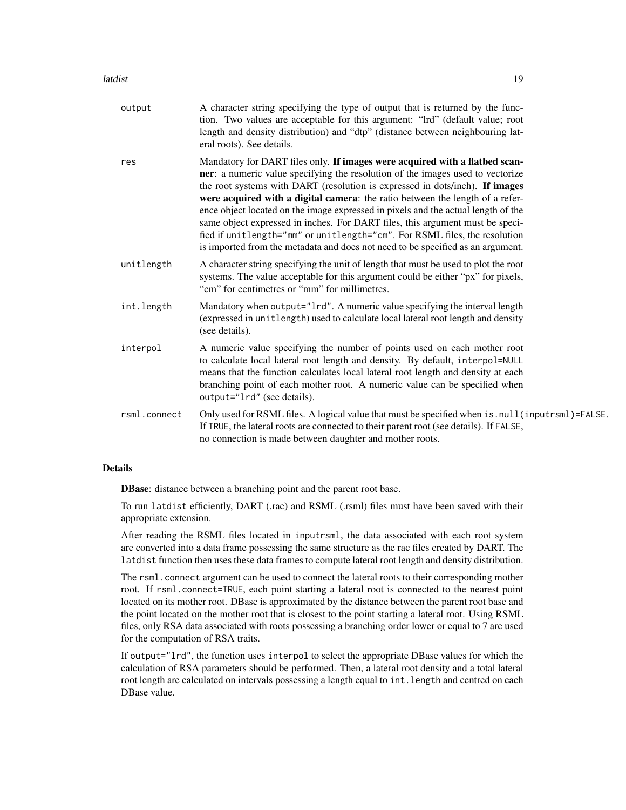| output       | A character string specifying the type of output that is returned by the func-<br>tion. Two values are acceptable for this argument: "Ird" (default value; root<br>length and density distribution) and "dtp" (distance between neighbouring lat-<br>eral roots). See details.                                                                                                                                                                                                                                                                                                                                                                                        |
|--------------|-----------------------------------------------------------------------------------------------------------------------------------------------------------------------------------------------------------------------------------------------------------------------------------------------------------------------------------------------------------------------------------------------------------------------------------------------------------------------------------------------------------------------------------------------------------------------------------------------------------------------------------------------------------------------|
| res          | Mandatory for DART files only. If images were acquired with a flatbed scan-<br>ner: a numeric value specifying the resolution of the images used to vectorize<br>the root systems with DART (resolution is expressed in dots/inch). If images<br>were acquired with a digital camera: the ratio between the length of a refer-<br>ence object located on the image expressed in pixels and the actual length of the<br>same object expressed in inches. For DART files, this argument must be speci-<br>fied if unitlength="mm" or unitlength="cm". For RSML files, the resolution<br>is imported from the metadata and does not need to be specified as an argument. |
| unitlength   | A character string specifying the unit of length that must be used to plot the root<br>systems. The value acceptable for this argument could be either "px" for pixels,<br>"cm" for centimetres or "mm" for millimetres.                                                                                                                                                                                                                                                                                                                                                                                                                                              |
| int.length   | Mandatory when output="1rd". A numeric value specifying the interval length<br>(expressed in unitlength) used to calculate local lateral root length and density<br>(see details).                                                                                                                                                                                                                                                                                                                                                                                                                                                                                    |
| interpol     | A numeric value specifying the number of points used on each mother root<br>to calculate local lateral root length and density. By default, interpol=NULL<br>means that the function calculates local lateral root length and density at each<br>branching point of each mother root. A numeric value can be specified when<br>output="lrd" (see details).                                                                                                                                                                                                                                                                                                            |
| rsml.connect | Only used for RSML files. A logical value that must be specified when is . null (inputrsml)=FALSE.<br>If TRUE, the lateral roots are connected to their parent root (see details). If FALSE,<br>no connection is made between daughter and mother roots.                                                                                                                                                                                                                                                                                                                                                                                                              |

#### Details

DBase: distance between a branching point and the parent root base.

To run latdist efficiently, DART (.rac) and RSML (.rsml) files must have been saved with their appropriate extension.

After reading the RSML files located in inputrsml, the data associated with each root system are converted into a data frame possessing the same structure as the rac files created by DART. The latdist function then uses these data frames to compute lateral root length and density distribution.

The rsml.connect argument can be used to connect the lateral roots to their corresponding mother root. If rsml.connect=TRUE, each point starting a lateral root is connected to the nearest point located on its mother root. DBase is approximated by the distance between the parent root base and the point located on the mother root that is closest to the point starting a lateral root. Using RSML files, only RSA data associated with roots possessing a branching order lower or equal to 7 are used for the computation of RSA traits.

If output="lrd", the function uses interpol to select the appropriate DBase values for which the calculation of RSA parameters should be performed. Then, a lateral root density and a total lateral root length are calculated on intervals possessing a length equal to int.length and centred on each DBase value.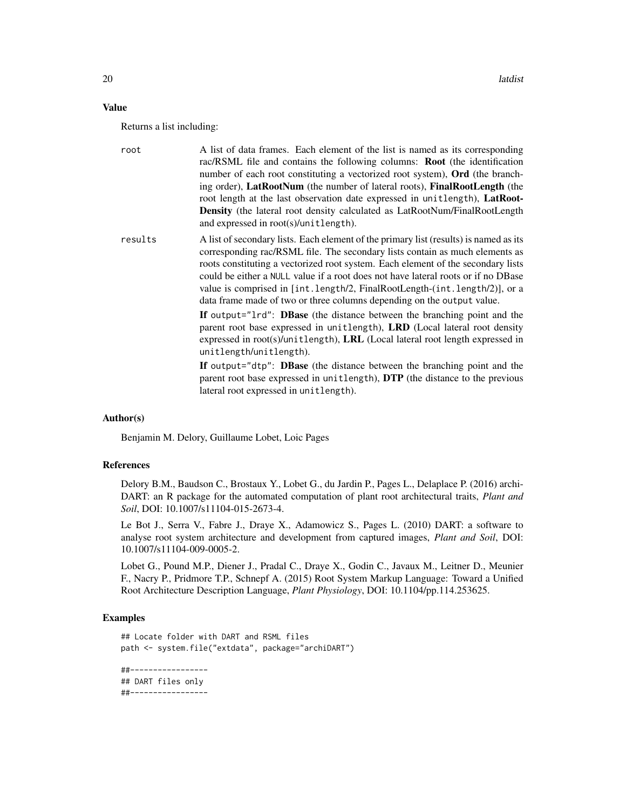#### Value

Returns a list including:

| root    | A list of data frames. Each element of the list is named as its corresponding<br>rac/RSML file and contains the following columns: <b>Root</b> (the identification<br>number of each root constituting a vectorized root system), Ord (the branch-<br>ing order), <b>LatRootNum</b> (the number of lateral roots), <b>FinalRootLength</b> (the<br>root length at the last observation date expressed in unitlength), LatRoot-<br>Density (the lateral root density calculated as LatRootNum/FinalRootLength<br>and expressed in root(s)/unitlength). |
|---------|------------------------------------------------------------------------------------------------------------------------------------------------------------------------------------------------------------------------------------------------------------------------------------------------------------------------------------------------------------------------------------------------------------------------------------------------------------------------------------------------------------------------------------------------------|
| results | A list of secondary lists. Each element of the primary list (results) is named as its<br>corresponding rac/RSML file. The secondary lists contain as much elements as<br>roots constituting a vectorized root system. Each element of the secondary lists<br>could be either a NULL value if a root does not have lateral roots or if no DB ase<br>value is comprised in [int.length/2, FinalRootLength-(int.length/2)], or a<br>data frame made of two or three columns depending on the output value.                                              |
|         | If output="1rd": DBase (the distance between the branching point and the<br>parent root base expressed in unitlength), LRD (Local lateral root density<br>expressed in root(s)/unitlength), LRL (Local lateral root length expressed in<br>unitlength/unitlength).                                                                                                                                                                                                                                                                                   |
|         | If output="dtp": DBase (the distance between the branching point and the<br>parent root base expressed in unitlength), DTP (the distance to the previous<br>lateral root expressed in unitlength).                                                                                                                                                                                                                                                                                                                                                   |

#### Author(s)

Benjamin M. Delory, Guillaume Lobet, Loic Pages

#### References

Delory B.M., Baudson C., Brostaux Y., Lobet G., du Jardin P., Pages L., Delaplace P. (2016) archi-DART: an R package for the automated computation of plant root architectural traits, *Plant and Soil*, DOI: 10.1007/s11104-015-2673-4.

Le Bot J., Serra V., Fabre J., Draye X., Adamowicz S., Pages L. (2010) DART: a software to analyse root system architecture and development from captured images, *Plant and Soil*, DOI: 10.1007/s11104-009-0005-2.

Lobet G., Pound M.P., Diener J., Pradal C., Draye X., Godin C., Javaux M., Leitner D., Meunier F., Nacry P., Pridmore T.P., Schnepf A. (2015) Root System Markup Language: Toward a Unified Root Architecture Description Language, *Plant Physiology*, DOI: 10.1104/pp.114.253625.

#### Examples

```
## Locate folder with DART and RSML files
path <- system.file("extdata", package="archiDART")
##-----------------
```
## DART files only ##-----------------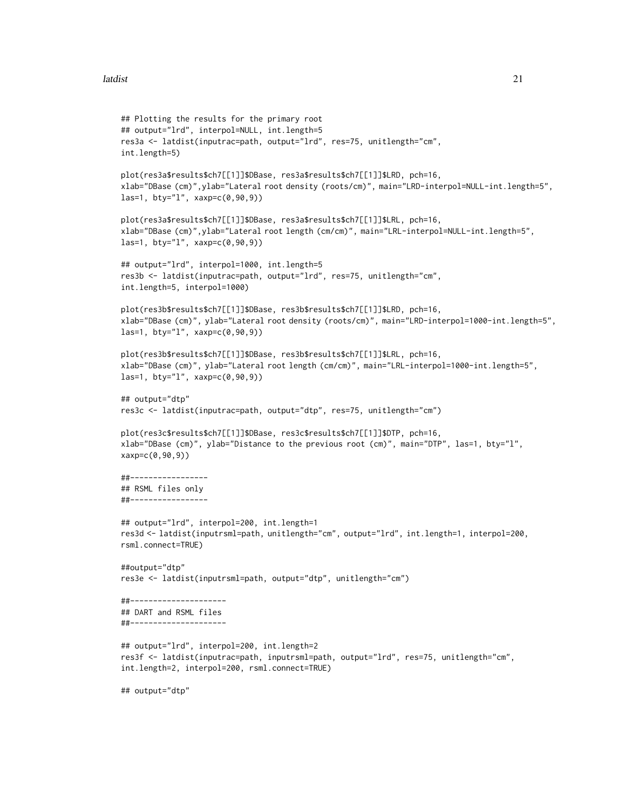#### latdist 21

```
## Plotting the results for the primary root
## output="lrd", interpol=NULL, int.length=5
res3a <- latdist(inputrac=path, output="lrd", res=75, unitlength="cm",
int.length=5)
plot(res3a$results$ch7[[1]]$DBase, res3a$results$ch7[[1]]$LRD, pch=16,
xlab="DBase (cm)",ylab="Lateral root density (roots/cm)", main="LRD-interpol=NULL-int.length=5",
las=1, bty="1", xaxp=c(0, 90, 9))plot(res3a$results$ch7[[1]]$DBase, res3a$results$ch7[[1]]$LRL, pch=16,
xlab="DBase (cm)",ylab="Lateral root length (cm/cm)", main="LRL-interpol=NULL-int.length=5",
las=1, bty="l", xaxp=c(0,90,9))
## output="lrd", interpol=1000, int.length=5
res3b <- latdist(inputrac=path, output="lrd", res=75, unitlength="cm",
int.length=5, interpol=1000)
plot(res3b$results$ch7[[1]]$DBase, res3b$results$ch7[[1]]$LRD, pch=16,
xlab="DBase (cm)", ylab="Lateral root density (roots/cm)", main="LRD-interpol=1000-int.length=5",
las=1, bty="l", xaxp=c(0,90,9))
plot(res3b$results$ch7[[1]]$DBase, res3b$results$ch7[[1]]$LRL, pch=16,
xlab="DBase (cm)", ylab="Lateral root length (cm/cm)", main="LRL-interpol=1000-int.length=5",
las=1, bty="l", xaxp=c(0,90,9))
## output="dtp"
res3c <- latdist(inputrac=path, output="dtp", res=75, unitlength="cm")
plot(res3c$results$ch7[[1]]$DBase, res3c$results$ch7[[1]]$DTP, pch=16,
xlab="DBase (cm)", ylab="Distance to the previous root (cm)", main="DTP", las=1, bty="l",
xaxp=c(0,90,9))
##-----------------
## RSML files only
##-----------------
## output="lrd", interpol=200, int.length=1
res3d <- latdist(inputrsml=path, unitlength="cm", output="lrd", int.length=1, interpol=200,
rsml.connect=TRUE)
##output="dtp"
res3e <- latdist(inputrsml=path, output="dtp", unitlength="cm")
##---------------------
## DART and RSML files
##---------------------
## output="lrd", interpol=200, int.length=2
res3f <- latdist(inputrac=path, inputrsml=path, output="lrd", res=75, unitlength="cm",
int.length=2, interpol=200, rsml.connect=TRUE)
## output="dtp"
```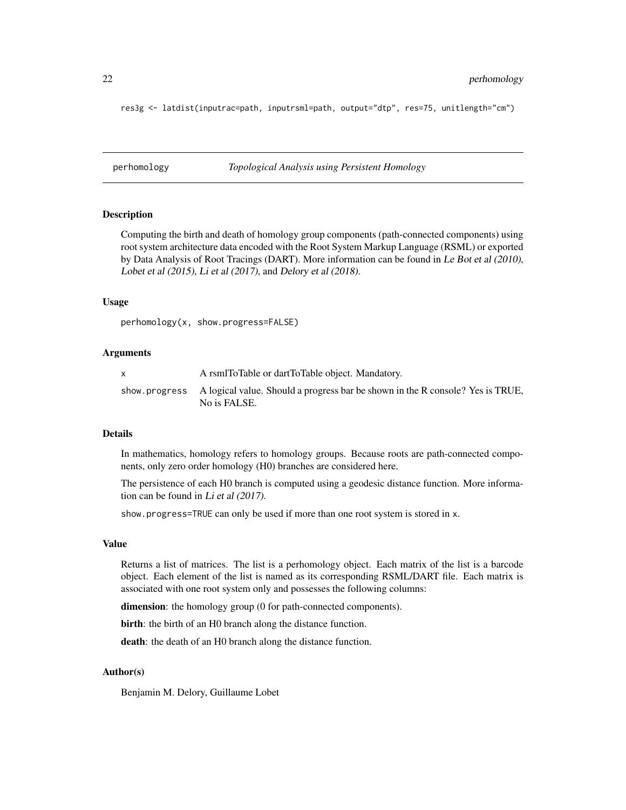<span id="page-21-0"></span>res3g <- latdist(inputrac=path, inputrsml=path, output="dtp", res=75, unitlength="cm")

<span id="page-21-1"></span>perhomology *Topological Analysis using Persistent Homology*

#### **Description**

Computing the birth and death of homology group components (path-connected components) using root system architecture data encoded with the Root System Markup Language (RSML) or exported by Data Analysis of Root Tracings (DART). More information can be found in Le Bot et al (2010), Lobet et al (2015), Li et al (2017), and Delory et al (2018).

#### Usage

perhomology(x, show.progress=FALSE)

#### Arguments

| A rsmlToTable or dartToTable object. Mandatory.                                                              |
|--------------------------------------------------------------------------------------------------------------|
| show progress A logical value. Should a progress bar be shown in the R console? Yes is TRUE,<br>No is FALSE. |

#### Details

In mathematics, homology refers to homology groups. Because roots are path-connected components, only zero order homology (H0) branches are considered here.

The persistence of each H0 branch is computed using a geodesic distance function. More information can be found in Li et al (2017).

show.progress=TRUE can only be used if more than one root system is stored in x.

#### Value

Returns a list of matrices. The list is a perhomology object. Each matrix of the list is a barcode object. Each element of the list is named as its corresponding RSML/DART file. Each matrix is associated with one root system only and possesses the following columns:

dimension: the homology group (0 for path-connected components).

birth: the birth of an H0 branch along the distance function.

death: the death of an H0 branch along the distance function.

#### Author(s)

Benjamin M. Delory, Guillaume Lobet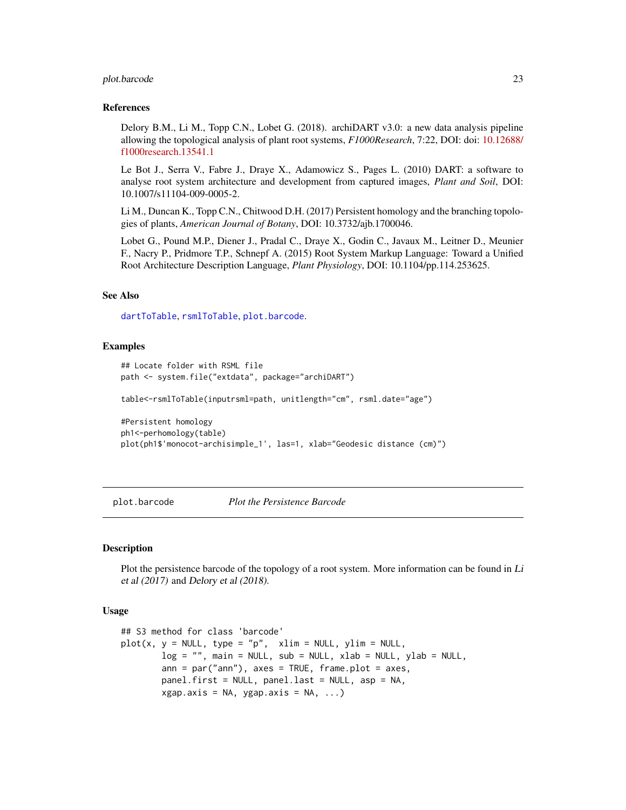#### <span id="page-22-0"></span>plot.barcode 23

#### References

Delory B.M., Li M., Topp C.N., Lobet G. (2018). archiDART v3.0: a new data analysis pipeline allowing the topological analysis of plant root systems, *F1000Research*, 7:22, DOI: doi: [10.12688/](https://doi.org/10.12688/f1000research.13541.1) [f1000research.13541.1](https://doi.org/10.12688/f1000research.13541.1)

Le Bot J., Serra V., Fabre J., Draye X., Adamowicz S., Pages L. (2010) DART: a software to analyse root system architecture and development from captured images, *Plant and Soil*, DOI: 10.1007/s11104-009-0005-2.

Li M., Duncan K., Topp C.N., Chitwood D.H. (2017) Persistent homology and the branching topologies of plants, *American Journal of Botany*, DOI: 10.3732/ajb.1700046.

Lobet G., Pound M.P., Diener J., Pradal C., Draye X., Godin C., Javaux M., Leitner D., Meunier F., Nacry P., Pridmore T.P., Schnepf A. (2015) Root System Markup Language: Toward a Unified Root Architecture Description Language, *Plant Physiology*, DOI: 10.1104/pp.114.253625.

#### See Also

[dartToTable](#page-15-1), [rsmlToTable](#page-26-1), [plot.barcode](#page-22-1).

#### Examples

```
## Locate folder with RSML file
path <- system.file("extdata", package="archiDART")
table<-rsmlToTable(inputrsml=path, unitlength="cm", rsml.date="age")
#Persistent homology
```

```
ph1<-perhomology(table)
plot(ph1$'monocot-archisimple_1', las=1, xlab="Geodesic distance (cm)")
```
<span id="page-22-1"></span>

plot.barcode *Plot the Persistence Barcode*

#### Description

Plot the persistence barcode of the topology of a root system. More information can be found in Li et al (2017) and Delory et al (2018).

#### Usage

```
## S3 method for class 'barcode'
plot(x, y = NULL, type = "p", xlim = NULL, ylim = NULL,log = "", main = NULL, sub = NULL, xlab = NULL, ylab = NULL,
       ann = par("ann"), axes = TRUE, frame.plot = axes,
       panel.first = NULL, panel.last = NULL, asp = NA,
       xgap.axis = NA, ygap.axis = NA, ...)
```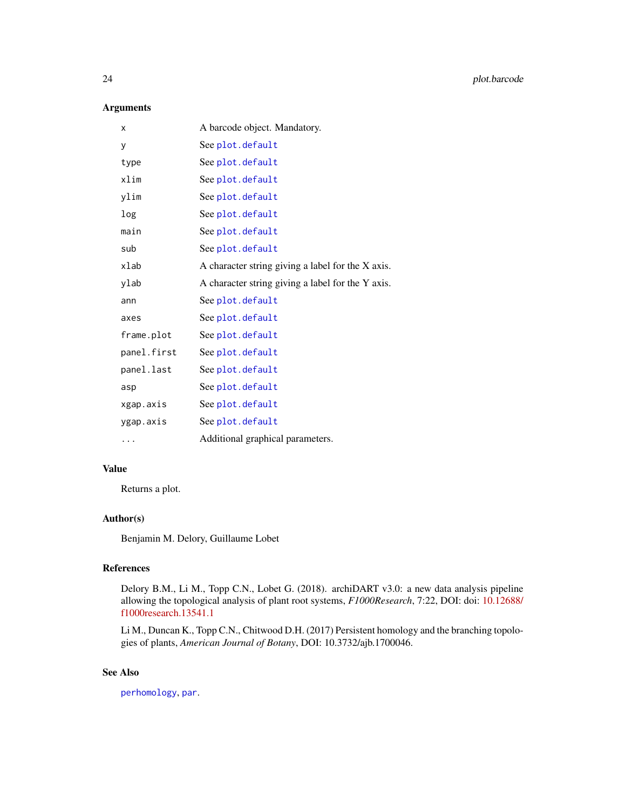#### <span id="page-23-0"></span>Arguments

| X           | A barcode object. Mandatory.                      |
|-------------|---------------------------------------------------|
| у           | See plot.default                                  |
| type        | See plot.default                                  |
| xlim        | See plot.default                                  |
| ylim        | See plot.default                                  |
| log         | See plot.default                                  |
| main        | See plot.default                                  |
| sub         | See plot.default                                  |
| xlab        | A character string giving a label for the X axis. |
| ylab        | A character string giving a label for the Y axis. |
| ann         | See plot.default                                  |
| axes        | See plot.default                                  |
| frame.plot  | See plot.default                                  |
| panel.first | See plot.default                                  |
| panel.last  | See plot.default                                  |
| asp         | See plot.default                                  |
| xgap.axis   | See plot.default                                  |
| ygap.axis   | See plot.default                                  |
| .           | Additional graphical parameters.                  |

#### Value

Returns a plot.

#### Author(s)

Benjamin M. Delory, Guillaume Lobet

#### References

Delory B.M., Li M., Topp C.N., Lobet G. (2018). archiDART v3.0: a new data analysis pipeline allowing the topological analysis of plant root systems, *F1000Research*, 7:22, DOI: doi: [10.12688/](https://doi.org/10.12688/f1000research.13541.1) [f1000research.13541.1](https://doi.org/10.12688/f1000research.13541.1)

Li M., Duncan K., Topp C.N., Chitwood D.H. (2017) Persistent homology and the branching topologies of plants, *American Journal of Botany*, DOI: 10.3732/ajb.1700046.

#### See Also

[perhomology](#page-21-1), [par](#page-0-0).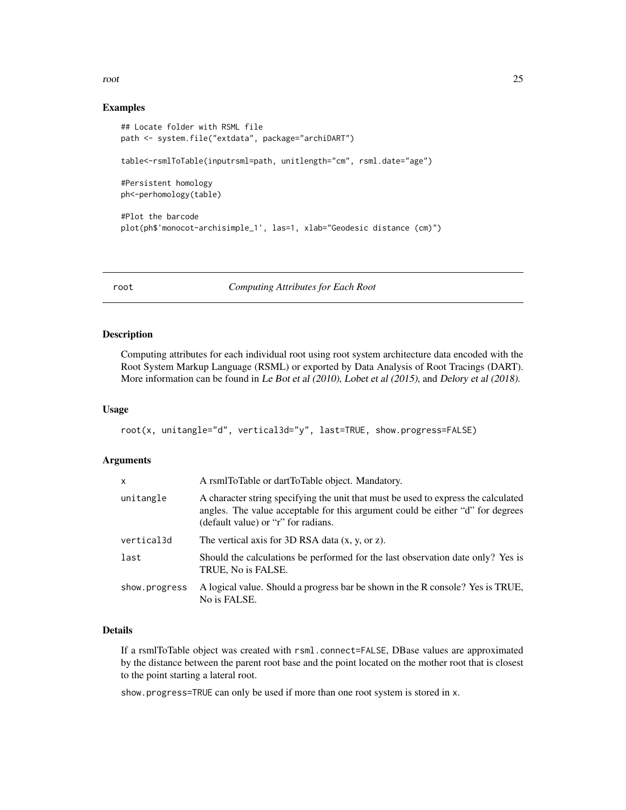<span id="page-24-0"></span>root 25

#### Examples

```
## Locate folder with RSML file
path <- system.file("extdata", package="archiDART")
table<-rsmlToTable(inputrsml=path, unitlength="cm", rsml.date="age")
#Persistent homology
ph<-perhomology(table)
#Plot the barcode
plot(ph$'monocot-archisimple_1', las=1, xlab="Geodesic distance (cm)")
```
root *Computing Attributes for Each Root*

#### Description

Computing attributes for each individual root using root system architecture data encoded with the Root System Markup Language (RSML) or exported by Data Analysis of Root Tracings (DART). More information can be found in Le Bot et al (2010), Lobet et al (2015), and Delory et al (2018).

#### Usage

```
root(x, unitangle="d", vertical3d="y", last=TRUE, show.progress=FALSE)
```
#### Arguments

| A rsmlToTable or dartToTable object. Mandatory.                                                                                                                                                             |  |
|-------------------------------------------------------------------------------------------------------------------------------------------------------------------------------------------------------------|--|
| A character string specifying the unit that must be used to express the calculated<br>angles. The value acceptable for this argument could be either "d" for degrees<br>(default value) or "r" for radians. |  |
| The vertical axis for 3D RSA data $(x, y, or z)$ .                                                                                                                                                          |  |
| Should the calculations be performed for the last observation date only? Yes is<br>TRUE, No is FALSE.                                                                                                       |  |
| A logical value. Should a progress bar be shown in the R console? Yes is TRUE,<br>No is FALSE.                                                                                                              |  |
|                                                                                                                                                                                                             |  |

#### Details

If a rsmlToTable object was created with rsml.connect=FALSE, DBase values are approximated by the distance between the parent root base and the point located on the mother root that is closest to the point starting a lateral root.

show.progress=TRUE can only be used if more than one root system is stored in x.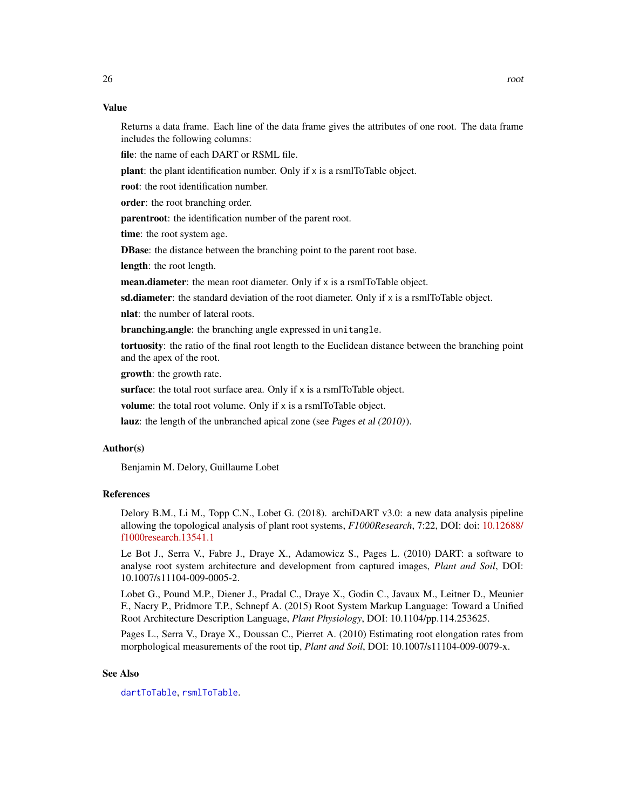#### <span id="page-25-0"></span>Value

Returns a data frame. Each line of the data frame gives the attributes of one root. The data frame includes the following columns:

file: the name of each DART or RSML file.

plant: the plant identification number. Only if x is a rsmlToTable object.

root: the root identification number.

order: the root branching order.

parentroot: the identification number of the parent root.

time: the root system age.

DBase: the distance between the branching point to the parent root base.

length: the root length.

mean.diameter: the mean root diameter. Only if x is a rsmlToTable object.

sd.diameter: the standard deviation of the root diameter. Only if  $x$  is a rsmlToTable object.

nlat: the number of lateral roots.

branching.angle: the branching angle expressed in unitangle.

tortuosity: the ratio of the final root length to the Euclidean distance between the branching point and the apex of the root.

growth: the growth rate.

surface: the total root surface area. Only if x is a rsmlToTable object.

volume: the total root volume. Only if x is a rsmlToTable object.

lauz: the length of the unbranched apical zone (see Pages et al (2010)).

#### Author(s)

Benjamin M. Delory, Guillaume Lobet

#### References

Delory B.M., Li M., Topp C.N., Lobet G. (2018). archiDART v3.0: a new data analysis pipeline allowing the topological analysis of plant root systems, *F1000Research*, 7:22, DOI: doi: [10.12688/](https://doi.org/10.12688/f1000research.13541.1) [f1000research.13541.1](https://doi.org/10.12688/f1000research.13541.1)

Le Bot J., Serra V., Fabre J., Draye X., Adamowicz S., Pages L. (2010) DART: a software to analyse root system architecture and development from captured images, *Plant and Soil*, DOI: 10.1007/s11104-009-0005-2.

Lobet G., Pound M.P., Diener J., Pradal C., Draye X., Godin C., Javaux M., Leitner D., Meunier F., Nacry P., Pridmore T.P., Schnepf A. (2015) Root System Markup Language: Toward a Unified Root Architecture Description Language, *Plant Physiology*, DOI: 10.1104/pp.114.253625.

Pages L., Serra V., Draye X., Doussan C., Pierret A. (2010) Estimating root elongation rates from morphological measurements of the root tip, *Plant and Soil*, DOI: 10.1007/s11104-009-0079-x.

#### See Also

[dartToTable](#page-15-1), [rsmlToTable](#page-26-1).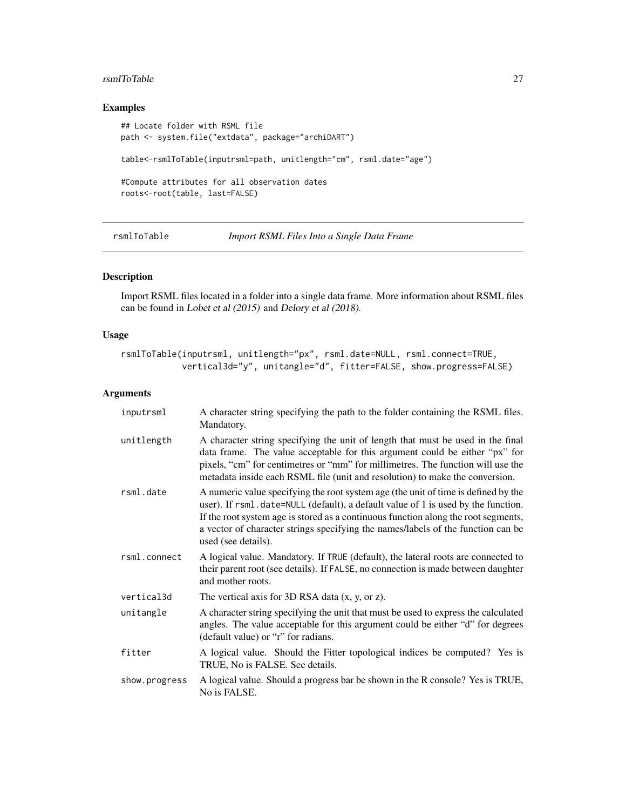#### <span id="page-26-0"></span>rsmlToTable 27

#### Examples

```
## Locate folder with RSML file
path <- system.file("extdata", package="archiDART")
table<-rsmlToTable(inputrsml=path, unitlength="cm", rsml.date="age")
#Compute attributes for all observation dates
roots<-root(table, last=FALSE)
```
<span id="page-26-1"></span>rsmlToTable *Import RSML Files Into a Single Data Frame*

#### Description

Import RSML files located in a folder into a single data frame. More information about RSML files can be found in Lobet et al (2015) and Delory et al (2018).

#### Usage

```
rsmlToTable(inputrsml, unitlength="px", rsml.date=NULL, rsml.connect=TRUE,
           vertical3d="y", unitangle="d", fitter=FALSE, show.progress=FALSE)
```
#### Arguments

| inputrsml     | A character string specifying the path to the folder containing the RSML files.<br>Mandatory.                                                                                                                                                                                                                                                                            |  |
|---------------|--------------------------------------------------------------------------------------------------------------------------------------------------------------------------------------------------------------------------------------------------------------------------------------------------------------------------------------------------------------------------|--|
| unitlength    | A character string specifying the unit of length that must be used in the final<br>data frame. The value acceptable for this argument could be either "px" for<br>pixels, "cm" for centimetres or "mm" for millimetres. The function will use the<br>metadata inside each RSML file (unit and resolution) to make the conversion.                                        |  |
| rsml.date     | A numeric value specifying the root system age (the unit of time is defined by the<br>user). If rsml.date=NULL (default), a default value of 1 is used by the function.<br>If the root system age is stored as a continuous function along the root segments,<br>a vector of character strings specifying the names/labels of the function can be<br>used (see details). |  |
| rsml.connect  | A logical value. Mandatory. If TRUE (default), the lateral roots are connected to<br>their parent root (see details). If FALSE, no connection is made between daughter<br>and mother roots.                                                                                                                                                                              |  |
| vertical3d    | The vertical axis for 3D RSA data $(x, y, or z)$ .                                                                                                                                                                                                                                                                                                                       |  |
| unitangle     | A character string specifying the unit that must be used to express the calculated<br>angles. The value acceptable for this argument could be either "d" for degrees<br>(default value) or "r" for radians.                                                                                                                                                              |  |
| fitter        | A logical value. Should the Fitter topological indices be computed? Yes is<br>TRUE, No is FALSE. See details.                                                                                                                                                                                                                                                            |  |
| show.progress | A logical value. Should a progress bar be shown in the R console? Yes is TRUE,<br>No is FALSE.                                                                                                                                                                                                                                                                           |  |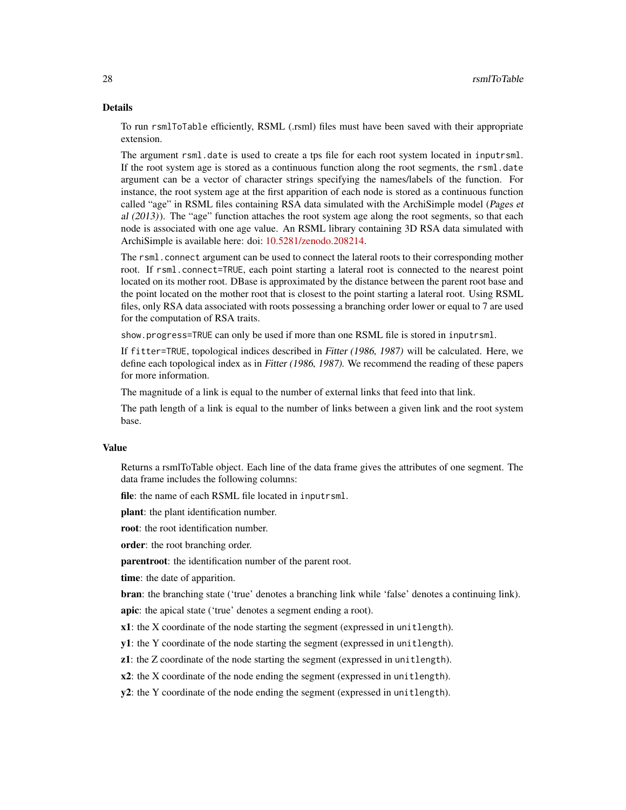#### Details

To run rsmlToTable efficiently, RSML (.rsml) files must have been saved with their appropriate extension.

The argument rsml.date is used to create a tps file for each root system located in inputrsml. If the root system age is stored as a continuous function along the root segments, the rsml.date argument can be a vector of character strings specifying the names/labels of the function. For instance, the root system age at the first apparition of each node is stored as a continuous function called "age" in RSML files containing RSA data simulated with the ArchiSimple model (Pages et al (2013)). The "age" function attaches the root system age along the root segments, so that each node is associated with one age value. An RSML library containing 3D RSA data simulated with ArchiSimple is available here: doi: [10.5281/zenodo.208214.](https://doi.org/10.5281/zenodo.208214)

The rsml.connect argument can be used to connect the lateral roots to their corresponding mother root. If rsml.connect=TRUE, each point starting a lateral root is connected to the nearest point located on its mother root. DBase is approximated by the distance between the parent root base and the point located on the mother root that is closest to the point starting a lateral root. Using RSML files, only RSA data associated with roots possessing a branching order lower or equal to 7 are used for the computation of RSA traits.

show.progress=TRUE can only be used if more than one RSML file is stored in inputrsml.

If fitter=TRUE, topological indices described in Fitter (1986, 1987) will be calculated. Here, we define each topological index as in Fitter (1986, 1987). We recommend the reading of these papers for more information.

The magnitude of a link is equal to the number of external links that feed into that link.

The path length of a link is equal to the number of links between a given link and the root system base.

#### Value

Returns a rsmlToTable object. Each line of the data frame gives the attributes of one segment. The data frame includes the following columns:

file: the name of each RSML file located in inputrsml.

plant: the plant identification number.

root: the root identification number.

order: the root branching order.

parentroot: the identification number of the parent root.

time: the date of apparition.

bran: the branching state ('true' denotes a branching link while 'false' denotes a continuing link).

apic: the apical state ('true' denotes a segment ending a root).

x1: the X coordinate of the node starting the segment (expressed in unitlength).

y1: the Y coordinate of the node starting the segment (expressed in unitlength).

z1: the Z coordinate of the node starting the segment (expressed in unitlength).

x2: the X coordinate of the node ending the segment (expressed in unitlength).

y2: the Y coordinate of the node ending the segment (expressed in unitlength).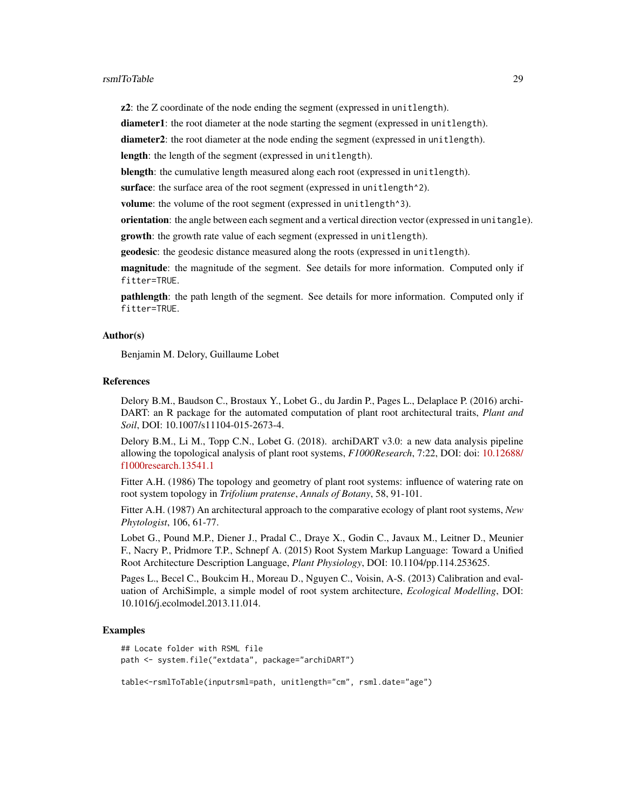z2: the Z coordinate of the node ending the segment (expressed in unitlength).

diameter1: the root diameter at the node starting the segment (expressed in unitlength).

diameter2: the root diameter at the node ending the segment (expressed in unitlength).

length: the length of the segment (expressed in unitlength).

blength: the cumulative length measured along each root (expressed in unitlength).

surface: the surface area of the root segment (expressed in unitlength<sup>^2</sup>).

volume: the volume of the root segment (expressed in unitlength<sup>3</sup>).

orientation: the angle between each segment and a vertical direction vector (expressed in unitangle).

growth: the growth rate value of each segment (expressed in unitlength).

geodesic: the geodesic distance measured along the roots (expressed in unitlength).

magnitude: the magnitude of the segment. See details for more information. Computed only if fitter=TRUE.

pathlength: the path length of the segment. See details for more information. Computed only if fitter=TRUE.

#### Author(s)

Benjamin M. Delory, Guillaume Lobet

#### References

Delory B.M., Baudson C., Brostaux Y., Lobet G., du Jardin P., Pages L., Delaplace P. (2016) archi-DART: an R package for the automated computation of plant root architectural traits, *Plant and Soil*, DOI: 10.1007/s11104-015-2673-4.

Delory B.M., Li M., Topp C.N., Lobet G. (2018). archiDART v3.0: a new data analysis pipeline allowing the topological analysis of plant root systems, *F1000Research*, 7:22, DOI: doi: [10.12688/](https://doi.org/10.12688/f1000research.13541.1) [f1000research.13541.1](https://doi.org/10.12688/f1000research.13541.1)

Fitter A.H. (1986) The topology and geometry of plant root systems: influence of watering rate on root system topology in *Trifolium pratense*, *Annals of Botany*, 58, 91-101.

Fitter A.H. (1987) An architectural approach to the comparative ecology of plant root systems, *New Phytologist*, 106, 61-77.

Lobet G., Pound M.P., Diener J., Pradal C., Draye X., Godin C., Javaux M., Leitner D., Meunier F., Nacry P., Pridmore T.P., Schnepf A. (2015) Root System Markup Language: Toward a Unified Root Architecture Description Language, *Plant Physiology*, DOI: 10.1104/pp.114.253625.

Pages L., Becel C., Boukcim H., Moreau D., Nguyen C., Voisin, A-S. (2013) Calibration and evaluation of ArchiSimple, a simple model of root system architecture, *Ecological Modelling*, DOI: 10.1016/j.ecolmodel.2013.11.014.

#### Examples

```
## Locate folder with RSML file
path <- system.file("extdata", package="archiDART")
```
table<-rsmlToTable(inputrsml=path, unitlength="cm", rsml.date="age")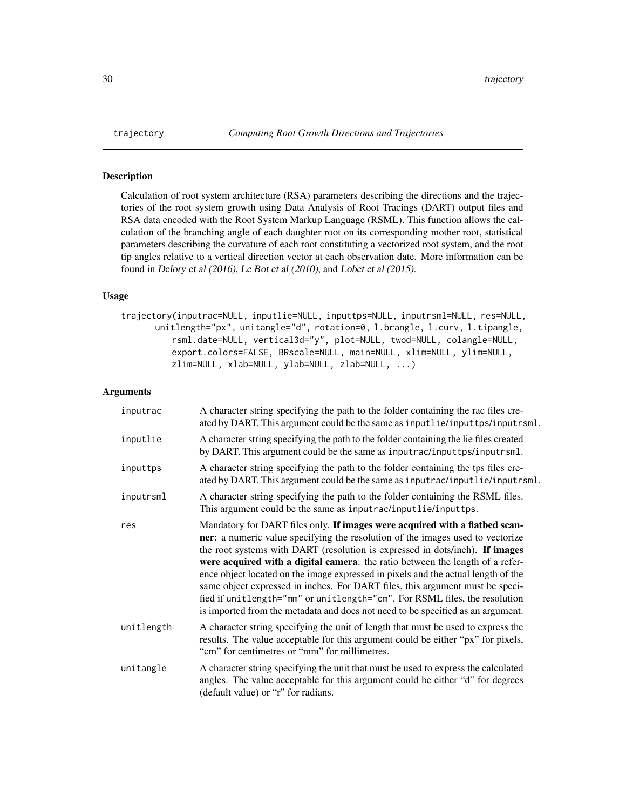<span id="page-29-0"></span>

#### Description

Calculation of root system architecture (RSA) parameters describing the directions and the trajectories of the root system growth using Data Analysis of Root Tracings (DART) output files and RSA data encoded with the Root System Markup Language (RSML). This function allows the calculation of the branching angle of each daughter root on its corresponding mother root, statistical parameters describing the curvature of each root constituting a vectorized root system, and the root tip angles relative to a vertical direction vector at each observation date. More information can be found in Delory et al (2016), Le Bot et al (2010), and Lobet et al (2015).

#### Usage

trajectory(inputrac=NULL, inputlie=NULL, inputtps=NULL, inputrsml=NULL, res=NULL, unitlength="px", unitangle="d", rotation=0, l.brangle, l.curv, l.tipangle, rsml.date=NULL, vertical3d="y", plot=NULL, twod=NULL, colangle=NULL, export.colors=FALSE, BRscale=NULL, main=NULL, xlim=NULL, ylim=NULL, zlim=NULL, xlab=NULL, ylab=NULL, zlab=NULL, ...)

#### Arguments

| inputrac   | A character string specifying the path to the folder containing the rac files cre-<br>ated by DART. This argument could be the same as inputlie/inputtps/inputrsml.                                                                                                                                                                                                                                                                                                                                                                                                                                                                                                   |
|------------|-----------------------------------------------------------------------------------------------------------------------------------------------------------------------------------------------------------------------------------------------------------------------------------------------------------------------------------------------------------------------------------------------------------------------------------------------------------------------------------------------------------------------------------------------------------------------------------------------------------------------------------------------------------------------|
| inputlie   | A character string specifying the path to the folder containing the lie files created<br>by DART. This argument could be the same as inputrac/inputtps/inputrsml.                                                                                                                                                                                                                                                                                                                                                                                                                                                                                                     |
| inputtps   | A character string specifying the path to the folder containing the tps files cre-<br>ated by DART. This argument could be the same as inputrac/inputlie/inputrsml.                                                                                                                                                                                                                                                                                                                                                                                                                                                                                                   |
| inputrsml  | A character string specifying the path to the folder containing the RSML files.<br>This argument could be the same as inputrac/inputlie/inputtps.                                                                                                                                                                                                                                                                                                                                                                                                                                                                                                                     |
| res        | Mandatory for DART files only. If images were acquired with a flatbed scan-<br>ner: a numeric value specifying the resolution of the images used to vectorize<br>the root systems with DART (resolution is expressed in dots/inch). If images<br>were acquired with a digital camera: the ratio between the length of a refer-<br>ence object located on the image expressed in pixels and the actual length of the<br>same object expressed in inches. For DART files, this argument must be speci-<br>fied if unitlength="mm" or unitlength="cm". For RSML files, the resolution<br>is imported from the metadata and does not need to be specified as an argument. |
| unitlength | A character string specifying the unit of length that must be used to express the<br>results. The value acceptable for this argument could be either "px" for pixels,<br>"cm" for centimetres or "mm" for millimetres.                                                                                                                                                                                                                                                                                                                                                                                                                                                |
| unitangle  | A character string specifying the unit that must be used to express the calculated<br>angles. The value acceptable for this argument could be either "d" for degrees<br>(default value) or "r" for radians.                                                                                                                                                                                                                                                                                                                                                                                                                                                           |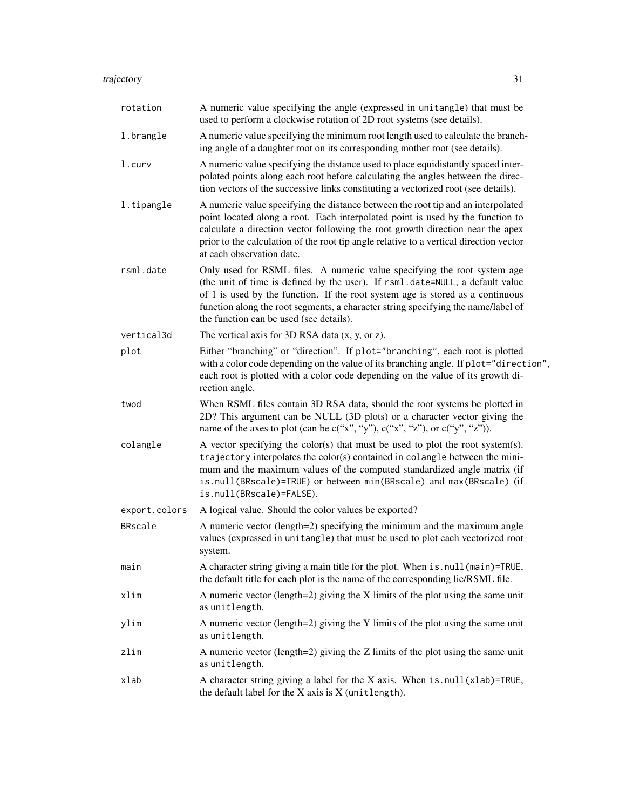| rotation      | A numeric value specifying the angle (expressed in unitangle) that must be<br>used to perform a clockwise rotation of 2D root systems (see details).                                                                                                                                                                                                                        |
|---------------|-----------------------------------------------------------------------------------------------------------------------------------------------------------------------------------------------------------------------------------------------------------------------------------------------------------------------------------------------------------------------------|
| 1.brangle     | A numeric value specifying the minimum root length used to calculate the branch-<br>ing angle of a daughter root on its corresponding mother root (see details).                                                                                                                                                                                                            |
| 1.curv        | A numeric value specifying the distance used to place equidistantly spaced inter-<br>polated points along each root before calculating the angles between the direc-<br>tion vectors of the successive links constituting a vectorized root (see details).                                                                                                                  |
| l.tipangle    | A numeric value specifying the distance between the root tip and an interpolated<br>point located along a root. Each interpolated point is used by the function to<br>calculate a direction vector following the root growth direction near the apex<br>prior to the calculation of the root tip angle relative to a vertical direction vector<br>at each observation date. |
| rsml.date     | Only used for RSML files. A numeric value specifying the root system age<br>(the unit of time is defined by the user). If rsml.date=NULL, a default value<br>of 1 is used by the function. If the root system age is stored as a continuous<br>function along the root segments, a character string specifying the name/label of<br>the function can be used (see details). |
| vertical3d    | The vertical axis for $3D$ RSA data $(x, y, or z)$ .                                                                                                                                                                                                                                                                                                                        |
| plot          | Either "branching" or "direction". If plot="branching", each root is plotted<br>with a color code depending on the value of its branching angle. If plot="direction",<br>each root is plotted with a color code depending on the value of its growth di-<br>rection angle.                                                                                                  |
| twod          | When RSML files contain 3D RSA data, should the root systems be plotted in<br>2D? This argument can be NULL (3D plots) or a character vector giving the<br>name of the axes to plot (can be c("x", "y"), c("x", "z"), or c("y", "z")).                                                                                                                                      |
| colangle      | A vector specifying the color(s) that must be used to plot the root system(s).<br>trajectory interpolates the color(s) contained in colangle between the mini-<br>mum and the maximum values of the computed standardized angle matrix (if<br>is.null(BRscale)=TRUE) or between min(BRscale) and max(BRscale) (if<br>is.null(BRscale)=FALSE).                               |
| export.colors | A logical value. Should the color values be exported?                                                                                                                                                                                                                                                                                                                       |
| BRscale       | A numeric vector (length=2) specifying the minimum and the maximum angle<br>values (expressed in unitangle) that must be used to plot each vectorized root<br>system.                                                                                                                                                                                                       |
| main          | A character string giving a main title for the plot. When is . null (main)=TRUE,<br>the default title for each plot is the name of the corresponding lie/RSML file.                                                                                                                                                                                                         |
| xlim          | A numeric vector (length=2) giving the $X$ limits of the plot using the same unit<br>as unitlength.                                                                                                                                                                                                                                                                         |
| ylim          | A numeric vector (length=2) giving the Y limits of the plot using the same unit<br>as unitlength.                                                                                                                                                                                                                                                                           |
| zlim          | A numeric vector (length=2) giving the $Z$ limits of the plot using the same unit<br>as unitlength.                                                                                                                                                                                                                                                                         |
| xlab          | A character string giving a label for the X axis. When $is. null(xlab)$ =TRUE,<br>the default label for the $X$ axis is $X$ (unitlength).                                                                                                                                                                                                                                   |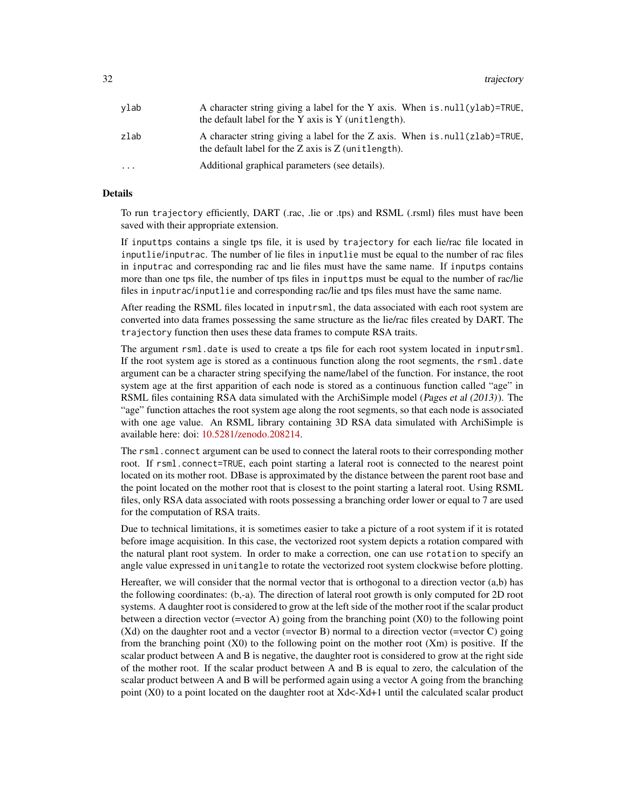| vlab     | A character string giving a label for the Y axis. When is . null(ylab)=TRUE,<br>the default label for the Y axis is Y (unitlength).       |
|----------|-------------------------------------------------------------------------------------------------------------------------------------------|
| zlab     | A character string giving a label for the Z axis. When is $null(zlab)$ =TRUE,<br>the default label for the $Z$ axis is $Z$ (unit length). |
| $\cdots$ | Additional graphical parameters (see details).                                                                                            |

#### Details

To run trajectory efficiently, DART (.rac, .lie or .tps) and RSML (.rsml) files must have been saved with their appropriate extension.

If inputtps contains a single tps file, it is used by trajectory for each lie/rac file located in inputlie/inputrac. The number of lie files in inputlie must be equal to the number of rac files in inputrac and corresponding rac and lie files must have the same name. If inputps contains more than one tps file, the number of tps files in inputtps must be equal to the number of rac/lie files in inputrac/inputlie and corresponding rac/lie and tps files must have the same name.

After reading the RSML files located in inputrsml, the data associated with each root system are converted into data frames possessing the same structure as the lie/rac files created by DART. The trajectory function then uses these data frames to compute RSA traits.

The argument rsml.date is used to create a tps file for each root system located in inputrsml. If the root system age is stored as a continuous function along the root segments, the rsml.date argument can be a character string specifying the name/label of the function. For instance, the root system age at the first apparition of each node is stored as a continuous function called "age" in RSML files containing RSA data simulated with the ArchiSimple model (Pages et al (2013)). The "age" function attaches the root system age along the root segments, so that each node is associated with one age value. An RSML library containing 3D RSA data simulated with ArchiSimple is available here: doi: [10.5281/zenodo.208214.](https://doi.org/10.5281/zenodo.208214)

The rsml.connect argument can be used to connect the lateral roots to their corresponding mother root. If rsml.connect=TRUE, each point starting a lateral root is connected to the nearest point located on its mother root. DBase is approximated by the distance between the parent root base and the point located on the mother root that is closest to the point starting a lateral root. Using RSML files, only RSA data associated with roots possessing a branching order lower or equal to 7 are used for the computation of RSA traits.

Due to technical limitations, it is sometimes easier to take a picture of a root system if it is rotated before image acquisition. In this case, the vectorized root system depicts a rotation compared with the natural plant root system. In order to make a correction, one can use rotation to specify an angle value expressed in unitangle to rotate the vectorized root system clockwise before plotting.

Hereafter, we will consider that the normal vector that is orthogonal to a direction vector (a,b) has the following coordinates: (b,-a). The direction of lateral root growth is only computed for 2D root systems. A daughter root is considered to grow at the left side of the mother root if the scalar product between a direction vector (=vector A) going from the branching point (X0) to the following point (Xd) on the daughter root and a vector (=vector B) normal to a direction vector (=vector C) going from the branching point  $(X0)$  to the following point on the mother root  $(Xm)$  is positive. If the scalar product between A and B is negative, the daughter root is considered to grow at the right side of the mother root. If the scalar product between A and B is equal to zero, the calculation of the scalar product between A and B will be performed again using a vector A going from the branching point (X0) to a point located on the daughter root at Xd<-Xd+1 until the calculated scalar product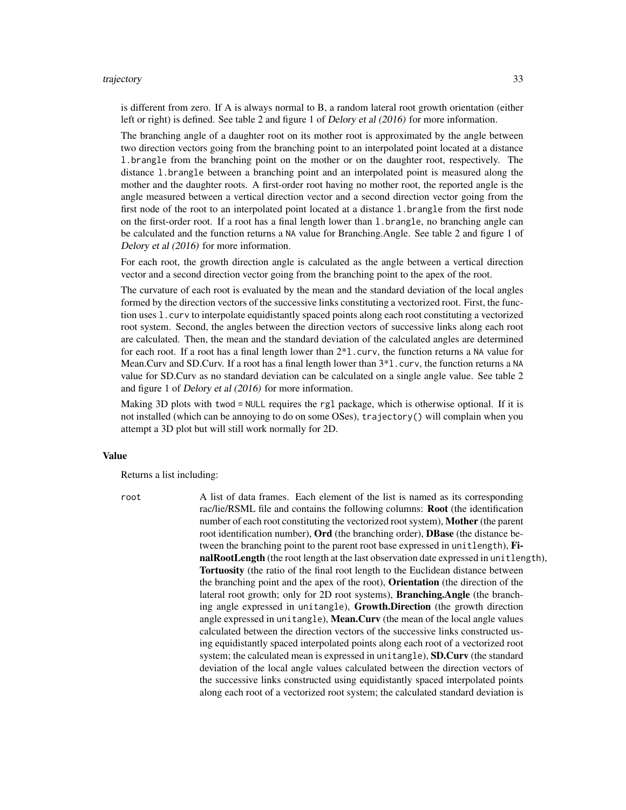#### trajectory 33

is different from zero. If A is always normal to B, a random lateral root growth orientation (either left or right) is defined. See table 2 and figure 1 of Delory et al (2016) for more information.

The branching angle of a daughter root on its mother root is approximated by the angle between two direction vectors going from the branching point to an interpolated point located at a distance l.brangle from the branching point on the mother or on the daughter root, respectively. The distance l.brangle between a branching point and an interpolated point is measured along the mother and the daughter roots. A first-order root having no mother root, the reported angle is the angle measured between a vertical direction vector and a second direction vector going from the first node of the root to an interpolated point located at a distance l.brangle from the first node on the first-order root. If a root has a final length lower than l.brangle, no branching angle can be calculated and the function returns a NA value for Branching.Angle. See table 2 and figure 1 of Delory et al (2016) for more information.

For each root, the growth direction angle is calculated as the angle between a vertical direction vector and a second direction vector going from the branching point to the apex of the root.

The curvature of each root is evaluated by the mean and the standard deviation of the local angles formed by the direction vectors of the successive links constituting a vectorized root. First, the function uses l.curv to interpolate equidistantly spaced points along each root constituting a vectorized root system. Second, the angles between the direction vectors of successive links along each root are calculated. Then, the mean and the standard deviation of the calculated angles are determined for each root. If a root has a final length lower than 2\*l.curv, the function returns a NA value for Mean.Curv and SD.Curv. If a root has a final length lower than  $3*1$ .curv, the function returns a NA value for SD.Curv as no standard deviation can be calculated on a single angle value. See table 2 and figure 1 of Delory et al (2016) for more information.

Making 3D plots with twod = NULL requires the rgl package, which is otherwise optional. If it is not installed (which can be annoying to do on some OSes), trajectory() will complain when you attempt a 3D plot but will still work normally for 2D.

#### Value

Returns a list including:

root A list of data frames. Each element of the list is named as its corresponding rac/lie/RSML file and contains the following columns: Root (the identification number of each root constituting the vectorized root system), Mother (the parent root identification number), Ord (the branching order), DBase (the distance between the branching point to the parent root base expressed in unitlength), FinalRootLength (the root length at the last observation date expressed in unitlength), Tortuosity (the ratio of the final root length to the Euclidean distance between the branching point and the apex of the root), Orientation (the direction of the lateral root growth; only for 2D root systems), **Branching.Angle** (the branching angle expressed in unitangle), Growth.Direction (the growth direction angle expressed in unitangle), Mean.Curv (the mean of the local angle values calculated between the direction vectors of the successive links constructed using equidistantly spaced interpolated points along each root of a vectorized root system; the calculated mean is expressed in unitangle), SD.Curv (the standard deviation of the local angle values calculated between the direction vectors of the successive links constructed using equidistantly spaced interpolated points along each root of a vectorized root system; the calculated standard deviation is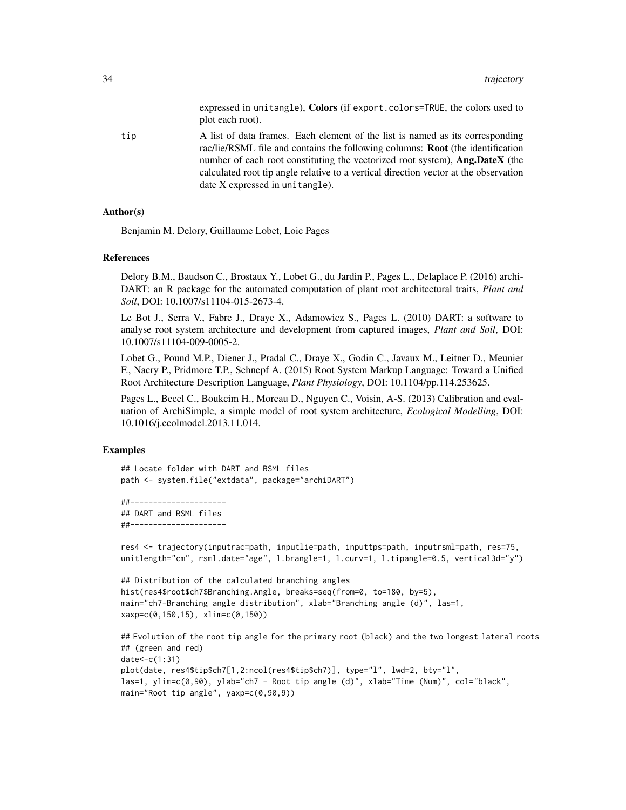expressed in unitangle), Colors (if export.colors=TRUE, the colors used to plot each root).

tip A list of data frames. Each element of the list is named as its corresponding rac/lie/RSML file and contains the following columns: Root (the identification number of each root constituting the vectorized root system), Ang.DateX (the calculated root tip angle relative to a vertical direction vector at the observation date X expressed in unitangle).

#### Author(s)

Benjamin M. Delory, Guillaume Lobet, Loic Pages

#### References

Delory B.M., Baudson C., Brostaux Y., Lobet G., du Jardin P., Pages L., Delaplace P. (2016) archi-DART: an R package for the automated computation of plant root architectural traits, *Plant and Soil*, DOI: 10.1007/s11104-015-2673-4.

Le Bot J., Serra V., Fabre J., Draye X., Adamowicz S., Pages L. (2010) DART: a software to analyse root system architecture and development from captured images, *Plant and Soil*, DOI: 10.1007/s11104-009-0005-2.

Lobet G., Pound M.P., Diener J., Pradal C., Draye X., Godin C., Javaux M., Leitner D., Meunier F., Nacry P., Pridmore T.P., Schnepf A. (2015) Root System Markup Language: Toward a Unified Root Architecture Description Language, *Plant Physiology*, DOI: 10.1104/pp.114.253625.

Pages L., Becel C., Boukcim H., Moreau D., Nguyen C., Voisin, A-S. (2013) Calibration and evaluation of ArchiSimple, a simple model of root system architecture, *Ecological Modelling*, DOI: 10.1016/j.ecolmodel.2013.11.014.

#### Examples

```
## Locate folder with DART and RSML files
path <- system.file("extdata", package="archiDART")
```

```
##---------------------
## DART and RSML files
##---------------------
```

```
res4 <- trajectory(inputrac=path, inputlie=path, inputtps=path, inputrsml=path, res=75,
unitlength="cm", rsml.date="age", l.brangle=1, l.curv=1, l.tipangle=0.5, vertical3d="y")
```

```
## Distribution of the calculated branching angles
hist(res4$root$ch7$Branching.Angle, breaks=seq(from=0, to=180, by=5),
main="ch7-Branching angle distribution", xlab="Branching angle (d)", las=1,
xaxp=c(0,150,15), xlim=c(0,150))
```

```
## Evolution of the root tip angle for the primary root (black) and the two longest lateral roots
## (green and red)
date<-c(1:31)
plot(date, res4$tip$ch7[1,2:ncol(res4$tip$ch7)], type="l", lwd=2, bty="l",
las=1, ylim=c(0,90), ylab="ch7 - Root tip angle (d)", xlab="Time (Num)", col="black",
main="Root tip angle", yaxp=c(0,90,9))
```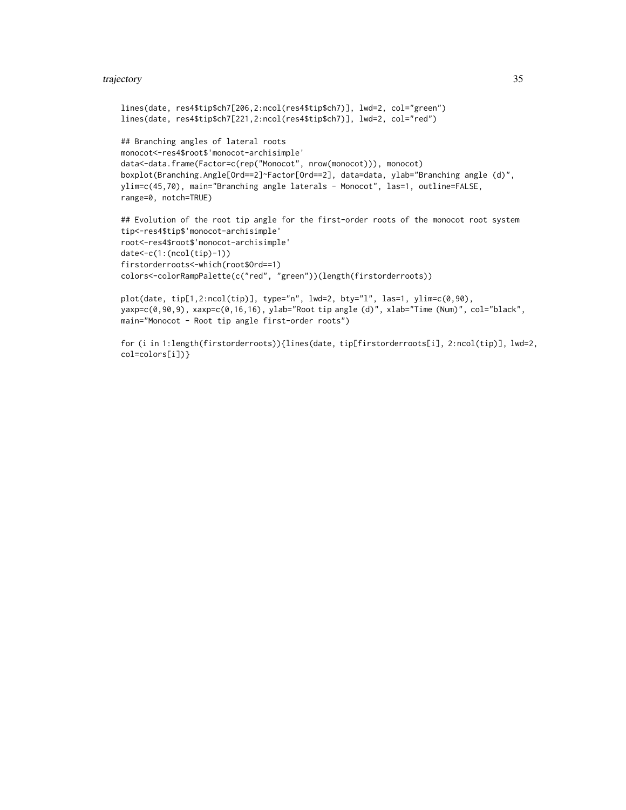#### trajectory 35

```
lines(date, res4$tip$ch7[206,2:ncol(res4$tip$ch7)], lwd=2, col="green")
lines(date, res4$tip$ch7[221,2:ncol(res4$tip$ch7)], lwd=2, col="red")
## Branching angles of lateral roots
monocot<-res4$root$'monocot-archisimple'
data<-data.frame(Factor=c(rep("Monocot", nrow(monocot))), monocot)
boxplot(Branching.Angle[Ord==2]~Factor[Ord==2], data=data, ylab="Branching angle (d)",
ylim=c(45,70), main="Branching angle laterals - Monocot", las=1, outline=FALSE,
range=0, notch=TRUE)
## Evolution of the root tip angle for the first-order roots of the monocot root system
tip<-res4$tip$'monocot-archisimple'
root<-res4$root$'monocot-archisimple'
date<-c(1:(ncol(tip)-1))
firstorderroots<-which(root$Ord==1)
colors<-colorRampPalette(c("red", "green"))(length(firstorderroots))
plot(date, tip[1,2:ncol(tip)], type="n", lwd=2, bty="l", las=1, ylim=c(0,90),
yaxp=c(0,90,9), xaxp=c(0,16,16), ylab="Root tip angle (d)", xlab="Time (Num)", col="black",
main="Monocot - Root tip angle first-order roots")
```
for (i in 1:length(firstorderroots)){lines(date, tip[firstorderroots[i], 2:ncol(tip)], lwd=2, col=colors[i])}